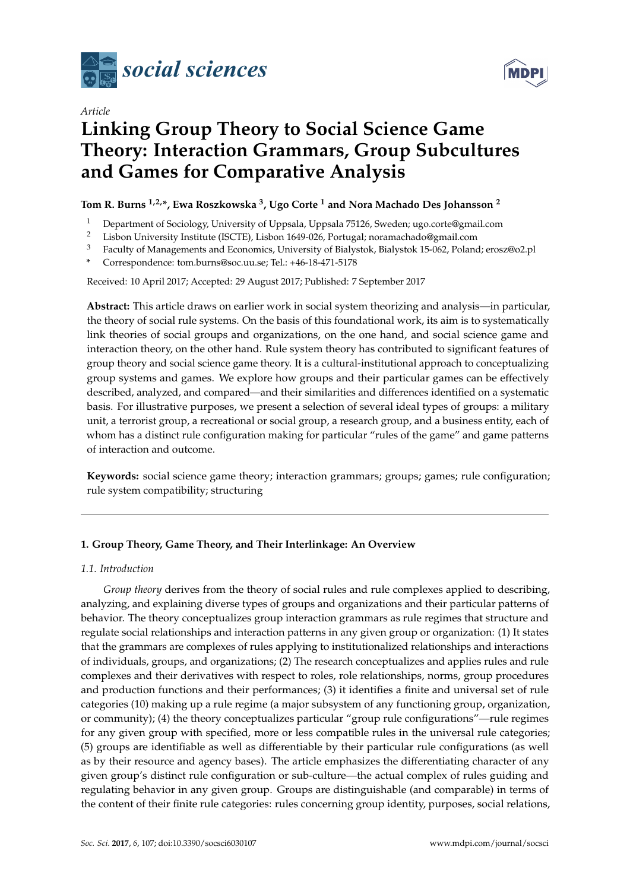



# *Article* **Linking Group Theory to Social Science Game Theory: Interaction Grammars, Group Subcultures and Games for Comparative Analysis**

## **Tom R. Burns 1,2,\*, Ewa Roszkowska <sup>3</sup> , Ugo Corte <sup>1</sup> and Nora Machado Des Johansson <sup>2</sup>**

- <sup>1</sup> Department of Sociology, University of Uppsala, Uppsala 75126, Sweden; ugo.corte@gmail.com
- <sup>2</sup> Lisbon University Institute (ISCTE), Lisbon 1649-026, Portugal; noramachado@gmail.com<br><sup>3</sup> Eaculty of Managements and Economics University of Bialystok, Bialystok 15-062, Polanc
- <sup>3</sup> Faculty of Managements and Economics, University of Bialystok, Bialystok 15-062, Poland; erosz@o2.pl
- **\*** Correspondence: tom.burns@soc.uu.se; Tel.: +46-18-471-5178

Received: 10 April 2017; Accepted: 29 August 2017; Published: 7 September 2017

**Abstract:** This article draws on earlier work in social system theorizing and analysis—in particular, the theory of social rule systems. On the basis of this foundational work, its aim is to systematically link theories of social groups and organizations, on the one hand, and social science game and interaction theory, on the other hand. Rule system theory has contributed to significant features of group theory and social science game theory. It is a cultural-institutional approach to conceptualizing group systems and games. We explore how groups and their particular games can be effectively described, analyzed, and compared—and their similarities and differences identified on a systematic basis. For illustrative purposes, we present a selection of several ideal types of groups: a military unit, a terrorist group, a recreational or social group, a research group, and a business entity, each of whom has a distinct rule configuration making for particular "rules of the game" and game patterns of interaction and outcome.

**Keywords:** social science game theory; interaction grammars; groups; games; rule configuration; rule system compatibility; structuring

## **1. Group Theory, Game Theory, and Their Interlinkage: An Overview**

## *1.1. Introduction*

*Group theory* derives from the theory of social rules and rule complexes applied to describing, analyzing, and explaining diverse types of groups and organizations and their particular patterns of behavior. The theory conceptualizes group interaction grammars as rule regimes that structure and regulate social relationships and interaction patterns in any given group or organization: (1) It states that the grammars are complexes of rules applying to institutionalized relationships and interactions of individuals, groups, and organizations; (2) The research conceptualizes and applies rules and rule complexes and their derivatives with respect to roles, role relationships, norms, group procedures and production functions and their performances; (3) it identifies a finite and universal set of rule categories (10) making up a rule regime (a major subsystem of any functioning group, organization, or community); (4) the theory conceptualizes particular "group rule configurations"—rule regimes for any given group with specified, more or less compatible rules in the universal rule categories; (5) groups are identifiable as well as differentiable by their particular rule configurations (as well as by their resource and agency bases). The article emphasizes the differentiating character of any given group's distinct rule configuration or sub-culture—the actual complex of rules guiding and regulating behavior in any given group. Groups are distinguishable (and comparable) in terms of the content of their finite rule categories: rules concerning group identity, purposes, social relations,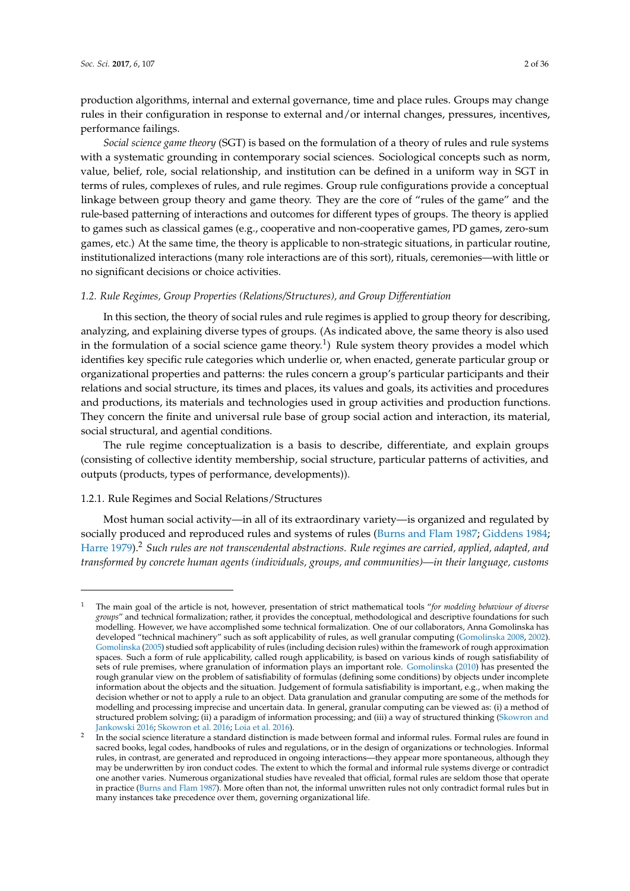production algorithms, internal and external governance, time and place rules. Groups may change rules in their configuration in response to external and/or internal changes, pressures, incentives, performance failings.

*Social science game theory* (SGT) is based on the formulation of a theory of rules and rule systems with a systematic grounding in contemporary social sciences. Sociological concepts such as norm, value, belief, role, social relationship, and institution can be defined in a uniform way in SGT in terms of rules, complexes of rules, and rule regimes. Group rule configurations provide a conceptual linkage between group theory and game theory. They are the core of "rules of the game" and the rule-based patterning of interactions and outcomes for different types of groups. The theory is applied to games such as classical games (e.g., cooperative and non-cooperative games, PD games, zero-sum games, etc.) At the same time, the theory is applicable to non-strategic situations, in particular routine, institutionalized interactions (many role interactions are of this sort), rituals, ceremonies—with little or no significant decisions or choice activities.

## *1.2. Rule Regimes, Group Properties (Relations/Structures), and Group Differentiation*

In this section, the theory of social rules and rule regimes is applied to group theory for describing, analyzing, and explaining diverse types of groups. (As indicated above, the same theory is also used in the formulation of a social science game theory.<sup>1</sup>) Rule system theory provides a model which identifies key specific rule categories which underlie or, when enacted, generate particular group or organizational properties and patterns: the rules concern a group's particular participants and their relations and social structure, its times and places, its values and goals, its activities and procedures and productions, its materials and technologies used in group activities and production functions. They concern the finite and universal rule base of group social action and interaction, its material, social structural, and agential conditions.

The rule regime conceptualization is a basis to describe, differentiate, and explain groups (consisting of collective identity membership, social structure, particular patterns of activities, and outputs (products, types of performance, developments)).

## 1.2.1. Rule Regimes and Social Relations/Structures

Most human social activity—in all of its extraordinary variety—is organized and regulated by socially produced and reproduced rules and systems of rules [\(Burns and Flam](#page-33-0) [1987;](#page-33-0) [Giddens](#page-34-0) [1984;](#page-34-0) [Harre](#page-34-1) [1979\)](#page-34-1).<sup>2</sup> *Such rules are not transcendental abstractions. Rule regimes are carried, applied, adapted, and transformed by concrete human agents (individuals, groups, and communities)—in their language, customs*

<sup>1</sup> The main goal of the article is not, however, presentation of strict mathematical tools "*for modeling behaviour of diverse groups*" and technical formalization; rather, it provides the conceptual, methodological and descriptive foundations for such modelling. However, we have accomplished some technical formalization. One of our collaborators, Anna Gomolinska has developed "technical machinery" such as soft applicability of rules, as well granular computing [\(Gomolinska](#page-34-2) [2008,](#page-34-2) [2002\)](#page-34-3). [Gomolinska](#page-34-4) [\(2005\)](#page-34-4) studied soft applicability of rules (including decision rules) within the framework of rough approximation spaces. Such a form of rule applicability, called rough applicability, is based on various kinds of rough satisfiability of sets of rule premises, where granulation of information plays an important role. [Gomolinska](#page-34-5) [\(2010\)](#page-34-5) has presented the rough granular view on the problem of satisfiability of formulas (defining some conditions) by objects under incomplete information about the objects and the situation. Judgement of formula satisfiability is important, e.g., when making the decision whether or not to apply a rule to an object. Data granulation and granular computing are some of the methods for modelling and processing imprecise and uncertain data. In general, granular computing can be viewed as: (i) a method of structured problem solving; (ii) a paradigm of information processing; and (iii) a way of structured thinking [\(Skowron and](#page-35-0) [Jankowski](#page-35-0) [2016;](#page-35-0) [Skowron et al.](#page-35-1) [2016;](#page-35-1) [Loia et al.](#page-35-2) [2016\)](#page-35-2).

<sup>2</sup> In the social science literature a standard distinction is made between formal and informal rules. Formal rules are found in sacred books, legal codes, handbooks of rules and regulations, or in the design of organizations or technologies. Informal rules, in contrast, are generated and reproduced in ongoing interactions—they appear more spontaneous, although they may be underwritten by iron conduct codes. The extent to which the formal and informal rule systems diverge or contradict one another varies. Numerous organizational studies have revealed that official, formal rules are seldom those that operate in practice [\(Burns and Flam](#page-33-0) [1987\)](#page-33-0). More often than not, the informal unwritten rules not only contradict formal rules but in many instances take precedence over them, governing organizational life.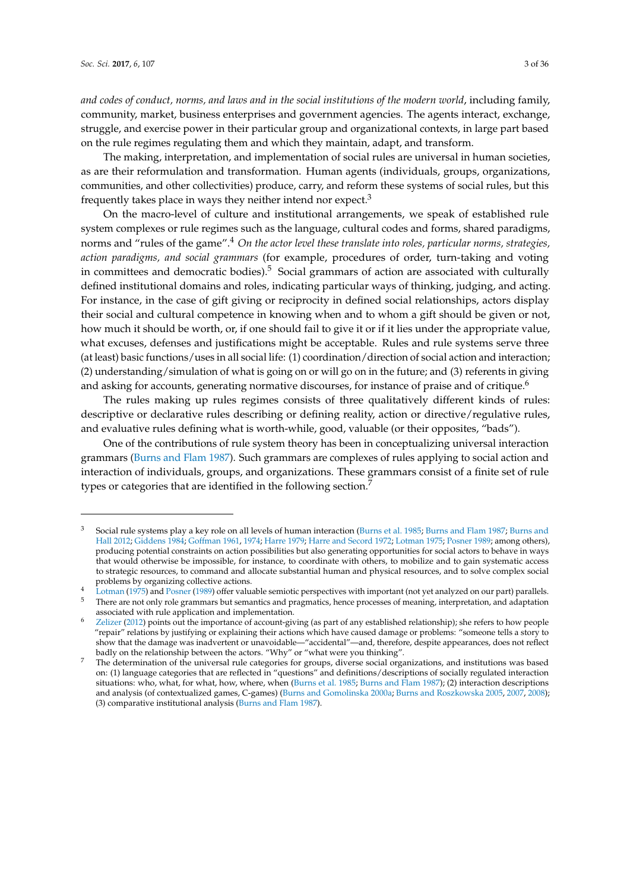and codes of conduct, norms, and laws and in the social institutions of the modern world, including family, community, market, business enterprises and government agencies. The agents interact, exchange, struggle, and exercise power in their particular group and organizational contexts, in large part based on the rule regimes regulating them and which they maintain, adapt, and transform.

The making, interpretation, and implementation of social rules are universal in human societies, as are their reformulation and transformation. Human agents (individuals, groups, organizations, communities, and other collectivities) produce, carry, and reform these systems of social rules, but this frequently takes place in ways they neither intend nor expect. $3$ 

On the macro-level of culture and institutional arrangements, we speak of established rule system complexes or rule regimes such as the language, cultural codes and forms, shared paradigms, norms and "rules of the game".<sup>4</sup> *On the actor level these translate into roles, particular norms, strategies, action paradigms, and social grammars* (for example, procedures of order, turn-taking and voting in committees and democratic bodies).<sup>5</sup> Social grammars of action are associated with culturally defined institutional domains and roles, indicating particular ways of thinking, judging, and acting. For instance, in the case of gift giving or reciprocity in defined social relationships, actors display their social and cultural competence in knowing when and to whom a gift should be given or not, how much it should be worth, or, if one should fail to give it or if it lies under the appropriate value, what excuses, defenses and justifications might be acceptable. Rules and rule systems serve three (at least) basic functions/uses in all social life: (1) coordination/direction of social action and interaction; (2) understanding/simulation of what is going on or will go on in the future; and (3) referents in giving and asking for accounts, generating normative discourses, for instance of praise and of critique.<sup>6</sup>

The rules making up rules regimes consists of three qualitatively different kinds of rules: descriptive or declarative rules describing or defining reality, action or directive/regulative rules, and evaluative rules defining what is worth-while, good, valuable (or their opposites, "bads").

One of the contributions of rule system theory has been in conceptualizing universal interaction grammars [\(Burns and Flam](#page-33-0) [1987\)](#page-33-0). Such grammars are complexes of rules applying to social action and interaction of individuals, groups, and organizations. These grammars consist of a finite set of rule types or categories that are identified in the following section.<sup>7</sup>

<sup>3</sup> Social rule systems play a key role on all levels of human interaction [\(Burns et al.](#page-34-6) [1985;](#page-34-6) [Burns and Flam](#page-33-0) [1987;](#page-33-0) [Burns and](#page-33-1) [Hall](#page-33-1) [2012;](#page-33-1) [Giddens](#page-34-0) [1984;](#page-34-0) [Goffman](#page-34-7) [1961,](#page-34-7) [1974;](#page-34-8) [Harre](#page-34-1) [1979;](#page-34-1) [Harre and Secord](#page-34-9) [1972;](#page-34-9) [Lotman](#page-35-3) [1975;](#page-35-3) [Posner](#page-35-4) [1989;](#page-35-4) among others), producing potential constraints on action possibilities but also generating opportunities for social actors to behave in ways that would otherwise be impossible, for instance, to coordinate with others, to mobilize and to gain systematic access to strategic resources, to command and allocate substantial human and physical resources, and to solve complex social problems by organizing collective actions.

<sup>4</sup> [Lotman](#page-35-3) [\(1975\)](#page-35-3) and [Posner](#page-35-4) [\(1989\)](#page-35-4) offer valuable semiotic perspectives with important (not yet analyzed on our part) parallels. <sup>5</sup> There are not only role grammars but semantics and pragmatics, hence processes of meaning, interpretation, and adaptation associated with rule application and implementation.

<sup>6</sup> [Zelizer](#page-35-5) [\(2012\)](#page-35-5) points out the importance of account-giving (as part of any established relationship); she refers to how people "repair" relations by justifying or explaining their actions which have caused damage or problems: "someone tells a story to show that the damage was inadvertent or unavoidable—"accidental"—and, therefore, despite appearances, does not reflect badly on the relationship between the actors. "Why" or "what were you thinking".

<sup>7</sup> The determination of the universal rule categories for groups, diverse social organizations, and institutions was based on: (1) language categories that are reflected in "questions" and definitions/descriptions of socially regulated interaction situations: who, what, for what, how, where, when [\(Burns et al.](#page-34-6) [1985;](#page-34-6) [Burns and Flam](#page-33-0) [1987\)](#page-33-0); (2) interaction descriptions and analysis (of contextualized games, C-games) [\(Burns and Gomolinska](#page-33-2) [2000a;](#page-33-2) [Burns and Roszkowska](#page-33-3) [2005,](#page-33-3) [2007,](#page-33-4) [2008\)](#page-34-10); (3) comparative institutional analysis [\(Burns and Flam](#page-33-0) [1987\)](#page-33-0).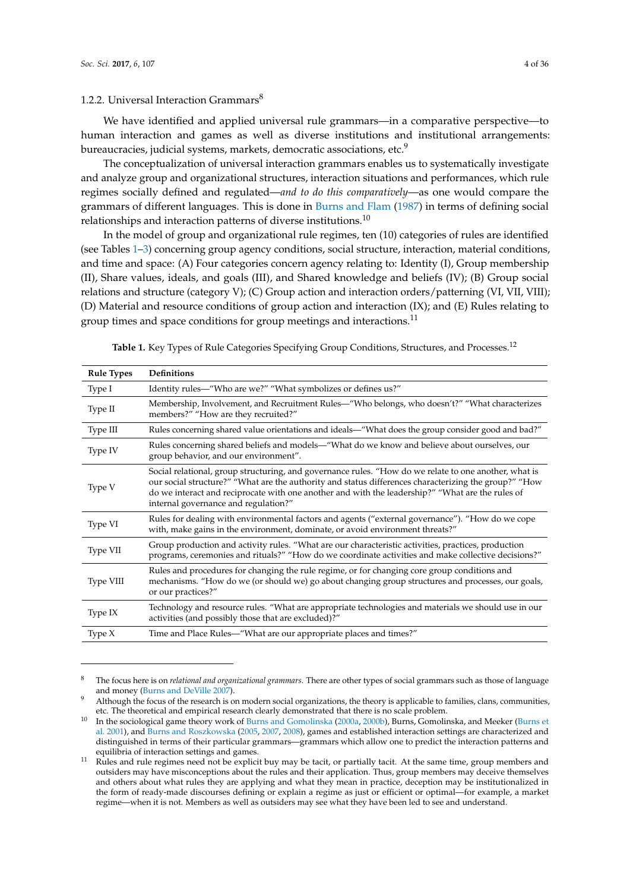## <span id="page-3-1"></span>1.2.2. Universal Interaction Grammars $8$

We have identified and applied universal rule grammars—in a comparative perspective—to human interaction and games as well as diverse institutions and institutional arrangements: bureaucracies, judicial systems, markets, democratic associations, etc.<sup>9</sup>

The conceptualization of universal interaction grammars enables us to systematically investigate and analyze group and organizational structures, interaction situations and performances, which rule regimes socially defined and regulated—*and to do this comparatively*—as one would compare the grammars of different languages. This is done in [Burns and Flam](#page-33-0) [\(1987\)](#page-33-0) in terms of defining social relationships and interaction patterns of diverse institutions.<sup>10</sup>

In the model of group and organizational rule regimes, ten (10) categories of rules are identified (see Tables [1](#page-3-0)[–3\)](#page-16-0) concerning group agency conditions, social structure, interaction, material conditions, and time and space: (A) Four categories concern agency relating to: Identity (I), Group membership (II), Share values, ideals, and goals (III), and Shared knowledge and beliefs (IV); (B) Group social relations and structure (category V); (C) Group action and interaction orders/patterning (VI, VII, VIII); (D) Material and resource conditions of group action and interaction (IX); and (E) Rules relating to group times and space conditions for group meetings and interactions.<sup>11</sup>

| <b>Rule Types</b> | <b>Definitions</b>                                                                                                                                                                                                                                                                                                                                         |
|-------------------|------------------------------------------------------------------------------------------------------------------------------------------------------------------------------------------------------------------------------------------------------------------------------------------------------------------------------------------------------------|
| Type I            | Identity rules—"Who are we?" "What symbolizes or defines us?"                                                                                                                                                                                                                                                                                              |
| Type II           | Membership, Involvement, and Recruitment Rules—"Who belongs, who doesn't?" "What characterizes<br>members?" "How are they recruited?"                                                                                                                                                                                                                      |
| Type III          | Rules concerning shared value orientations and ideals—"What does the group consider good and bad?"                                                                                                                                                                                                                                                         |
| Type IV           | Rules concerning shared beliefs and models—"What do we know and believe about ourselves, our<br>group behavior, and our environment".                                                                                                                                                                                                                      |
| Type V            | Social relational, group structuring, and governance rules. "How do we relate to one another, what is<br>our social structure?" "What are the authority and status differences characterizing the group?" "How<br>do we interact and reciprocate with one another and with the leadership?" "What are the rules of<br>internal governance and regulation?" |
| Type VI           | Rules for dealing with environmental factors and agents ("external governance"). "How do we cope<br>with, make gains in the environment, dominate, or avoid environment threats?"                                                                                                                                                                          |
| Type VII          | Group production and activity rules. "What are our characteristic activities, practices, production<br>programs, ceremonies and rituals?" "How do we coordinate activities and make collective decisions?"                                                                                                                                                 |
| Type VIII         | Rules and procedures for changing the rule regime, or for changing core group conditions and<br>mechanisms. "How do we (or should we) go about changing group structures and processes, our goals,<br>or our practices?"                                                                                                                                   |
| Type $IX$         | Technology and resource rules. "What are appropriate technologies and materials we should use in our<br>activities (and possibly those that are excluded)?"                                                                                                                                                                                                |
| Type $X$          | Time and Place Rules-"What are our appropriate places and times?"                                                                                                                                                                                                                                                                                          |

<span id="page-3-0"></span>Table 1. Key Types of Rule Categories Specifying Group Conditions, Structures, and Processes.<sup>12</sup>

<sup>8</sup> The focus here is on *relational and organizational grammars*. There are other types of social grammars such as those of language and money [\(Burns and DeVille](#page-33-5) [2007\)](#page-33-5).

Although the focus of the research is on modern social organizations, the theory is applicable to families, clans, communities, etc. The theoretical and empirical research clearly demonstrated that there is no scale problem.

In the sociological game theory work of [Burns and Gomolinska](#page-33-2) [\(2000a,](#page-33-2) [2000b\)](#page-33-6), Burns, Gomolinska, and Meeker [\(Burns et](#page-34-11) [al.](#page-34-11) [2001\)](#page-34-11), and [Burns and Roszkowska](#page-33-3) [\(2005,](#page-33-3) [2007,](#page-33-4) [2008\)](#page-34-10), games and established interaction settings are characterized and distinguished in terms of their particular grammars—grammars which allow one to predict the interaction patterns and equilibria of interaction settings and games.

<sup>&</sup>lt;sup>11</sup> Rules and rule regimes need not be explicit buy may be tacit, or partially tacit. At the same time, group members and outsiders may have misconceptions about the rules and their application. Thus, group members may deceive themselves and others about what rules they are applying and what they mean in practice, deception may be institutionalized in the form of ready-made discourses defining or explain a regime as just or efficient or optimal—for example, a market regime—when it is not. Members as well as outsiders may see what they have been led to see and understand.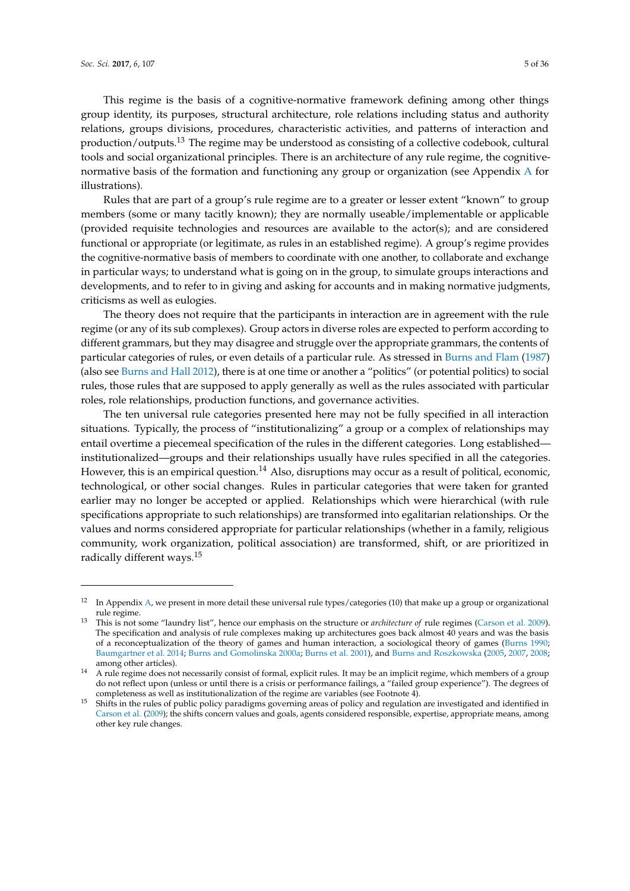This regime is the basis of a cognitive-normative framework defining among other things group identity, its purposes, structural architecture, role relations including status and authority relations, groups divisions, procedures, characteristic activities, and patterns of interaction and production/outputs.<sup>13</sup> The regime may be understood as consisting of a collective codebook, cultural tools and social organizational principles. There is an architecture of any rule regime, the cognitivenormative basis of the formation and functioning any group or organization (see Appendix [A](#page-26-0) for illustrations).

Rules that are part of a group's rule regime are to a greater or lesser extent "known" to group members (some or many tacitly known); they are normally useable/implementable or applicable (provided requisite technologies and resources are available to the actor(s); and are considered functional or appropriate (or legitimate, as rules in an established regime). A group's regime provides the cognitive-normative basis of members to coordinate with one another, to collaborate and exchange in particular ways; to understand what is going on in the group, to simulate groups interactions and developments, and to refer to in giving and asking for accounts and in making normative judgments, criticisms as well as eulogies.

The theory does not require that the participants in interaction are in agreement with the rule regime (or any of its sub complexes). Group actors in diverse roles are expected to perform according to different grammars, but they may disagree and struggle over the appropriate grammars, the contents of particular categories of rules, or even details of a particular rule. As stressed in [Burns and Flam](#page-33-0) [\(1987\)](#page-33-0) (also see [Burns and Hall](#page-33-1) [2012\)](#page-33-1), there is at one time or another a "politics" (or potential politics) to social rules, those rules that are supposed to apply generally as well as the rules associated with particular roles, role relationships, production functions, and governance activities.

The ten universal rule categories presented here may not be fully specified in all interaction situations. Typically, the process of "institutionalizing" a group or a complex of relationships may entail overtime a piecemeal specification of the rules in the different categories. Long established institutionalized—groups and their relationships usually have rules specified in all the categories. However, this is an empirical question.<sup>14</sup> Also, disruptions may occur as a result of political, economic, technological, or other social changes. Rules in particular categories that were taken for granted earlier may no longer be accepted or applied. Relationships which were hierarchical (with rule specifications appropriate to such relationships) are transformed into egalitarian relationships. Or the values and norms considered appropriate for particular relationships (whether in a family, religious community, work organization, political association) are transformed, shift, or are prioritized in radically different ways.<sup>15</sup>

 $12$  In Appendix [A,](#page-26-0) we present in more detail these universal rule types/categories (10) that make up a group or organizational rule regime.

<sup>13</sup> This is not some "laundry list", hence our emphasis on the structure or *architecture of* rule regimes [\(Carson et al.](#page-34-12) [2009\)](#page-34-12). The specification and analysis of rule complexes making up architectures goes back almost 40 years and was the basis of a reconceptualization of the theory of games and human interaction, a sociological theory of games [\(Burns](#page-33-7) [1990;](#page-33-7) [Baumgartner et al.](#page-33-8) [2014;](#page-33-8) [Burns and Gomolinska](#page-33-2) [2000a;](#page-33-2) [Burns et al.](#page-34-11) [2001\)](#page-34-11), and [Burns and Roszkowska](#page-33-3) [\(2005,](#page-33-3) [2007,](#page-33-4) [2008;](#page-34-10) among other articles).

<sup>&</sup>lt;sup>14</sup> A rule regime does not necessarily consist of formal, explicit rules. It may be an implicit regime, which members of a group do not reflect upon (unless or until there is a crisis or performance failings, a "failed group experience"). The degrees of completeness as well as institutionalization of the regime are variables (see Footnote 4).

<sup>15</sup> Shifts in the rules of public policy paradigms governing areas of policy and regulation are investigated and identified in [Carson et al.](#page-34-12) [\(2009\)](#page-34-12); the shifts concern values and goals, agents considered responsible, expertise, appropriate means, among other key rule changes.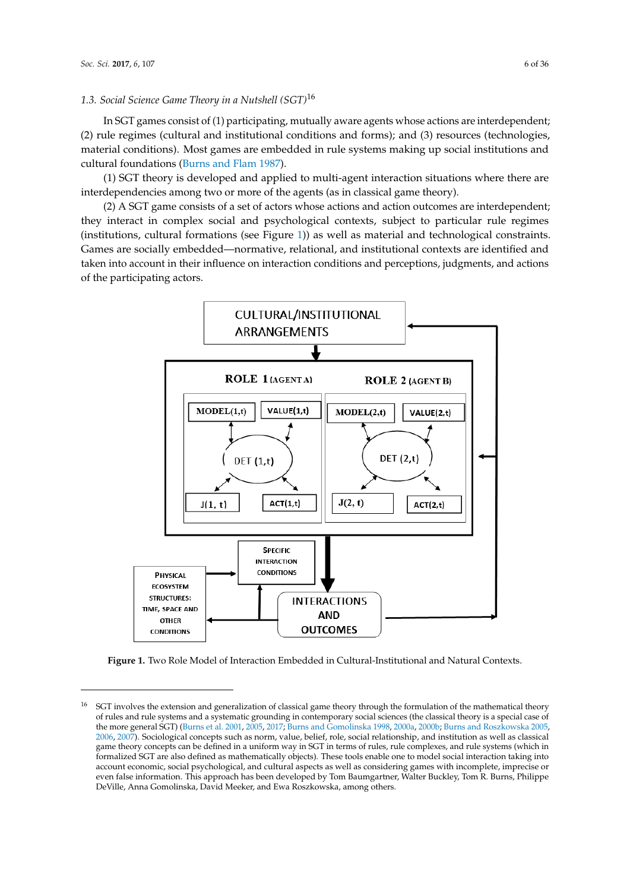## *1.3. Social Science Game Theory in a Nutshell (SGT)*<sup>16</sup> *1.2. Social Science Game Theory in a Nutshell (SGT)16*

In SGT games consist of (1) participating, mutually aware agents whose actions are interdependent; In SGT games consist of (1) participating, mutually aware agents whose actions are  $(2)$  rule regimes (cultural and institutional conditions and forms); and (3) resources (technologies, material conditions). Most games are embedded in rule systems making up social institutions and cultural foundations [\(Burns and Flam](#page-33-0) [1987\)](#page-33-0).

(1) SGT theory is developed and applied to multi-agent interaction situations where there are (1) SGT theory is developed and applied to multi-agent interaction situations where there are interdependencies among two or more of the agents (as in classical game theory). interdependencies among two or more of the agents (as in classical game theory).

(2) A SGT game consists of a set of actors whose actions and action outcomes are interdependent; (2) A SGT game consists of a set of actors whose actions and action outcomes are interdependent; they interact in complex social and psychological contexts, subject to particular rule regimes they interact in complex social and psychological contexts, subject to particular rule regimes (institutions, cultural formations (see Figure [1\)](#page-5-0)) as well as material and technological constraints. (institutions, cultural formations (see Figure 1)) as well as material and technological constraints. Games are socially embedded—normative, relational, and institutional contexts are identified and Games are socially embedded—normative, relational, and institutional contexts are identified and taken into account in their influence on interaction conditions and perceptions, judgments, and actions of the participating actors.

<span id="page-5-0"></span>

**Figure 1.** Two Role Model of Interaction Embedded in Cultural-Institutional and Natural Contexts. **Figure 1.** Two Role Model of Interaction Embedded in Cultural-Institutional and Natural Contexts.

Ī <sup>16</sup> SGT involves the extension and generalization of classical game theory through the formulation of the mathematical theory the more general SGT) [\(Burns et al.](#page-34-11) [2001,](#page-34-11) [2005,](#page-33-3) [2017;](#page-34-14) [Burns and Gomolinska](#page-33-9) [1998,](#page-33-9) [2000a,](#page-33-2) [2000b;](#page-33-6) [Burns and Roszkowska](#page-33-3) 2005, [2006,](#page-33-10) [2007\)](#page-33-4). Sociological concepts such as norm, value, belief, role, social relationship, and institution as well as classical game theory concepts can be defined in a uniform way in SGT in terms of rules, rule complexes, and rule systems (which in formalized SGT are also defined as mathematically objects). These tools enable one to model social interaction taking into<br> deced in certionary social psychologically and candidate aspects as well as considering games which incomplexe, inpredict of<br>even false information. This approach has been developed by Tom Baumgartner, Walter Buckley, Tom DeVille, Anna Gomolinska, David Meeker, and Ewa Roszkowska, among others. of rules and rule systems and a systematic grounding in contemporary social sciences (the classical theory is a special case of account economic, social psychological, and cultural aspects as well as considering games with incomplete, imprecise or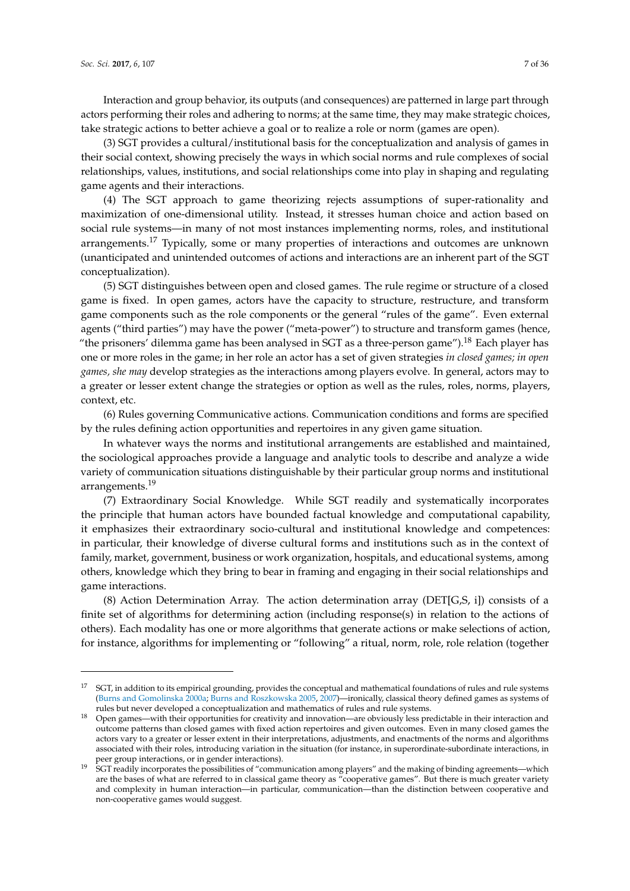Interaction and group behavior, its outputs (and consequences) are patterned in large part through actors performing their roles and adhering to norms; at the same time, they may make strategic choices, take strategic actions to better achieve a goal or to realize a role or norm (games are open).

(3) SGT provides a cultural/institutional basis for the conceptualization and analysis of games in their social context, showing precisely the ways in which social norms and rule complexes of social relationships, values, institutions, and social relationships come into play in shaping and regulating game agents and their interactions.

(4) The SGT approach to game theorizing rejects assumptions of super-rationality and maximization of one-dimensional utility. Instead, it stresses human choice and action based on social rule systems—in many of not most instances implementing norms, roles, and institutional arrangements.<sup>17</sup> Typically, some or many properties of interactions and outcomes are unknown (unanticipated and unintended outcomes of actions and interactions are an inherent part of the SGT conceptualization).

(5) SGT distinguishes between open and closed games. The rule regime or structure of a closed game is fixed. In open games, actors have the capacity to structure, restructure, and transform game components such as the role components or the general "rules of the game". Even external agents ("third parties") may have the power ("meta-power") to structure and transform games (hence, "the prisoners' dilemma game has been analysed in SGT as a three-person game").<sup>18</sup> Each player has one or more roles in the game; in her role an actor has a set of given strategies *in closed games; in open games, she may* develop strategies as the interactions among players evolve. In general, actors may to a greater or lesser extent change the strategies or option as well as the rules, roles, norms, players, context, etc.

(6) Rules governing Communicative actions. Communication conditions and forms are specified by the rules defining action opportunities and repertoires in any given game situation.

In whatever ways the norms and institutional arrangements are established and maintained, the sociological approaches provide a language and analytic tools to describe and analyze a wide variety of communication situations distinguishable by their particular group norms and institutional arrangements.<sup>19</sup>

(7) Extraordinary Social Knowledge. While SGT readily and systematically incorporates the principle that human actors have bounded factual knowledge and computational capability, it emphasizes their extraordinary socio-cultural and institutional knowledge and competences: in particular, their knowledge of diverse cultural forms and institutions such as in the context of family, market, government, business or work organization, hospitals, and educational systems, among others, knowledge which they bring to bear in framing and engaging in their social relationships and game interactions.

(8) Action Determination Array. The action determination array ( $DET[G, S, i]$ ) consists of a finite set of algorithms for determining action (including response(s) in relation to the actions of others). Each modality has one or more algorithms that generate actions or make selections of action, for instance, algorithms for implementing or "following" a ritual, norm, role, role relation (together

<sup>17</sup> SGT, in addition to its empirical grounding, provides the conceptual and mathematical foundations of rules and rule systems [\(Burns and Gomolinska](#page-33-2) [2000a;](#page-33-2) [Burns and Roszkowska](#page-33-3) [2005,](#page-33-3) [2007\)](#page-33-4)—ironically, classical theory defined games as systems of rules but never developed a conceptualization and mathematics of rules and rule systems.

<sup>18</sup> Open games—with their opportunities for creativity and innovation—are obviously less predictable in their interaction and outcome patterns than closed games with fixed action repertoires and given outcomes. Even in many closed games the actors vary to a greater or lesser extent in their interpretations, adjustments, and enactments of the norms and algorithms associated with their roles, introducing variation in the situation (for instance, in superordinate-subordinate interactions, in peer group interactions, or in gender interactions).

<sup>19</sup> SGT readily incorporates the possibilities of "communication among players" and the making of binding agreements—which are the bases of what are referred to in classical game theory as "cooperative games". But there is much greater variety and complexity in human interaction—in particular, communication—than the distinction between cooperative and non-cooperative games would suggest.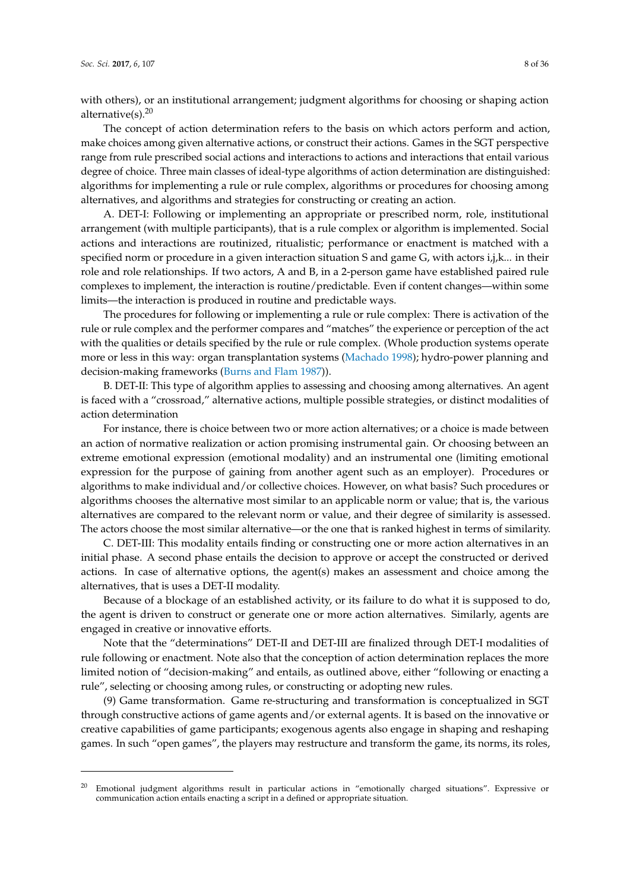with others), or an institutional arrangement; judgment algorithms for choosing or shaping action alternative(s). $20$ 

The concept of action determination refers to the basis on which actors perform and action, make choices among given alternative actions, or construct their actions. Games in the SGT perspective range from rule prescribed social actions and interactions to actions and interactions that entail various degree of choice. Three main classes of ideal-type algorithms of action determination are distinguished: algorithms for implementing a rule or rule complex, algorithms or procedures for choosing among alternatives, and algorithms and strategies for constructing or creating an action.

A. DET-I: Following or implementing an appropriate or prescribed norm, role, institutional arrangement (with multiple participants), that is a rule complex or algorithm is implemented. Social actions and interactions are routinized, ritualistic; performance or enactment is matched with a specified norm or procedure in a given interaction situation S and game G, with actors i,j,k... in their role and role relationships. If two actors, A and B, in a 2-person game have established paired rule complexes to implement, the interaction is routine/predictable. Even if content changes—within some limits—the interaction is produced in routine and predictable ways.

The procedures for following or implementing a rule or rule complex: There is activation of the rule or rule complex and the performer compares and "matches" the experience or perception of the act with the qualities or details specified by the rule or rule complex. (Whole production systems operate more or less in this way: organ transplantation systems [\(Machado](#page-35-6) [1998\)](#page-35-6); hydro-power planning and decision-making frameworks [\(Burns and Flam](#page-33-0) [1987\)](#page-33-0)).

B. DET-II: This type of algorithm applies to assessing and choosing among alternatives. An agent is faced with a "crossroad," alternative actions, multiple possible strategies, or distinct modalities of action determination

For instance, there is choice between two or more action alternatives; or a choice is made between an action of normative realization or action promising instrumental gain. Or choosing between an extreme emotional expression (emotional modality) and an instrumental one (limiting emotional expression for the purpose of gaining from another agent such as an employer). Procedures or algorithms to make individual and/or collective choices. However, on what basis? Such procedures or algorithms chooses the alternative most similar to an applicable norm or value; that is, the various alternatives are compared to the relevant norm or value, and their degree of similarity is assessed. The actors choose the most similar alternative—or the one that is ranked highest in terms of similarity.

C. DET-III: This modality entails finding or constructing one or more action alternatives in an initial phase. A second phase entails the decision to approve or accept the constructed or derived actions. In case of alternative options, the agent(s) makes an assessment and choice among the alternatives, that is uses a DET-II modality.

Because of a blockage of an established activity, or its failure to do what it is supposed to do, the agent is driven to construct or generate one or more action alternatives. Similarly, agents are engaged in creative or innovative efforts.

Note that the "determinations" DET-II and DET-III are finalized through DET-I modalities of rule following or enactment. Note also that the conception of action determination replaces the more limited notion of "decision-making" and entails, as outlined above, either "following or enacting a rule", selecting or choosing among rules, or constructing or adopting new rules.

(9) Game transformation. Game re-structuring and transformation is conceptualized in SGT through constructive actions of game agents and/or external agents. It is based on the innovative or creative capabilities of game participants; exogenous agents also engage in shaping and reshaping games. In such "open games", the players may restructure and transform the game, its norms, its roles,

<sup>&</sup>lt;sup>20</sup> Emotional judgment algorithms result in particular actions in "emotionally charged situations". Expressive or communication action entails enacting a script in a defined or appropriate situation.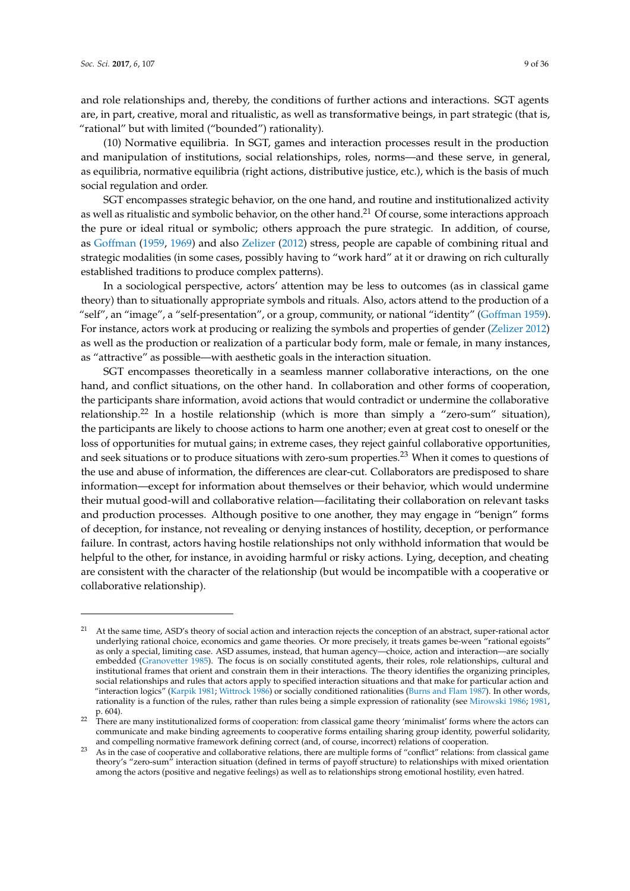and role relationships and, thereby, the conditions of further actions and interactions. SGT agents are, in part, creative, moral and ritualistic, as well as transformative beings, in part strategic (that is, "rational" but with limited ("bounded") rationality).

(10) Normative equilibria. In SGT, games and interaction processes result in the production and manipulation of institutions, social relationships, roles, norms—and these serve, in general, as equilibria, normative equilibria (right actions, distributive justice, etc.), which is the basis of much social regulation and order.

SGT encompasses strategic behavior, on the one hand, and routine and institutionalized activity as well as ritualistic and symbolic behavior, on the other hand.<sup>21</sup> Of course, some interactions approach the pure or ideal ritual or symbolic; others approach the pure strategic. In addition, of course, as [Goffman](#page-34-15) [\(1959,](#page-34-15) [1969\)](#page-34-16) and also [Zelizer](#page-35-5) [\(2012\)](#page-35-5) stress, people are capable of combining ritual and strategic modalities (in some cases, possibly having to "work hard" at it or drawing on rich culturally established traditions to produce complex patterns).

In a sociological perspective, actors' attention may be less to outcomes (as in classical game theory) than to situationally appropriate symbols and rituals. Also, actors attend to the production of a "self", an "image", a "self-presentation", or a group, community, or national "identity" [\(Goffman](#page-34-15) [1959\)](#page-34-15). For instance, actors work at producing or realizing the symbols and properties of gender [\(Zelizer](#page-35-5) [2012\)](#page-35-5) as well as the production or realization of a particular body form, male or female, in many instances, as "attractive" as possible—with aesthetic goals in the interaction situation.

SGT encompasses theoretically in a seamless manner collaborative interactions, on the one hand, and conflict situations, on the other hand. In collaboration and other forms of cooperation, the participants share information, avoid actions that would contradict or undermine the collaborative relationship.<sup>22</sup> In a hostile relationship (which is more than simply a "zero-sum" situation), the participants are likely to choose actions to harm one another; even at great cost to oneself or the loss of opportunities for mutual gains; in extreme cases, they reject gainful collaborative opportunities, and seek situations or to produce situations with zero-sum properties.<sup>23</sup> When it comes to questions of the use and abuse of information, the differences are clear-cut. Collaborators are predisposed to share information—except for information about themselves or their behavior, which would undermine their mutual good-will and collaborative relation—facilitating their collaboration on relevant tasks and production processes. Although positive to one another, they may engage in "benign" forms of deception, for instance, not revealing or denying instances of hostility, deception, or performance failure. In contrast, actors having hostile relationships not only withhold information that would be helpful to the other, for instance, in avoiding harmful or risky actions. Lying, deception, and cheating are consistent with the character of the relationship (but would be incompatible with a cooperative or collaborative relationship).

<sup>21</sup> At the same time, ASD's theory of social action and interaction rejects the conception of an abstract, super-rational actor underlying rational choice, economics and game theories. Or more precisely, it treats games be-ween "rational egoists" as only a special, limiting case. ASD assumes, instead, that human agency—choice, action and interaction—are socially embedded [\(Granovetter](#page-34-17) [1985\)](#page-34-17). The focus is on socially constituted agents, their roles, role relationships, cultural and institutional frames that orient and constrain them in their interactions. The theory identifies the organizing principles, social relationships and rules that actors apply to specified interaction situations and that make for particular action and "interaction logics" [\(Karpik](#page-34-18) [1981;](#page-34-18) [Wittrock](#page-35-7) [1986\)](#page-35-7) or socially conditioned rationalities [\(Burns and Flam](#page-33-0) [1987\)](#page-33-0). In other words, rationality is a function of the rules, rather than rules being a simple expression of rationality (see [Mirowski](#page-35-8) [1986;](#page-35-8) [1981,](#page-35-9) p. 604).

<sup>&</sup>lt;sup>22</sup> There are many institutionalized forms of cooperation: from classical game theory 'minimalist' forms where the actors can communicate and make binding agreements to cooperative forms entailing sharing group identity, powerful solidarity, and compelling normative framework defining correct (and, of course, incorrect) relations of cooperation.

<sup>&</sup>lt;sup>23</sup> As in the case of cooperative and collaborative relations, there are multiple forms of "conflict" relations: from classical game theory's "zero-sum" interaction situation (defined in terms of payoff structure) to relationships with mixed orientation among the actors (positive and negative feelings) as well as to relationships strong emotional hostility, even hatred.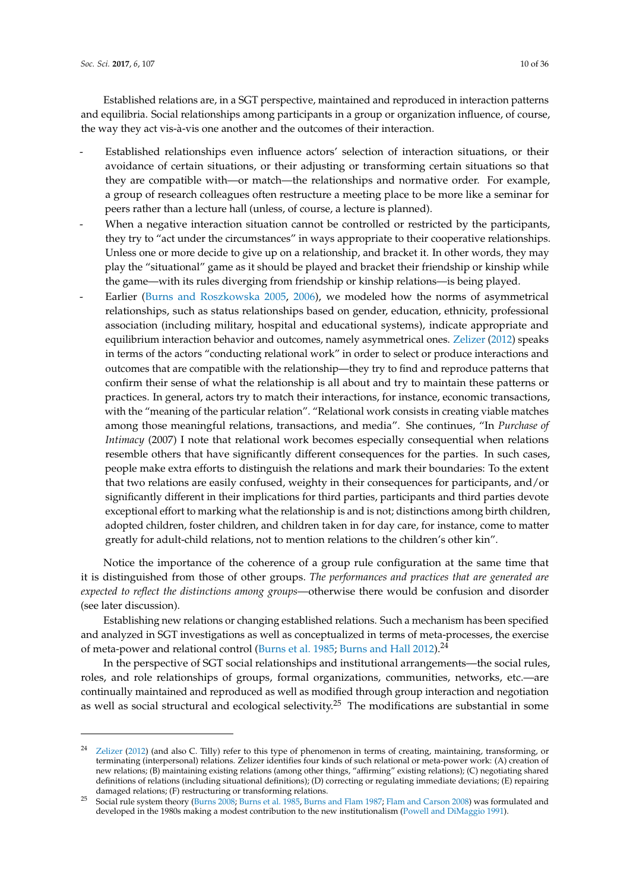Established relations are, in a SGT perspective, maintained and reproduced in interaction patterns and equilibria. Social relationships among participants in a group or organization influence, of course, the way they act vis-à-vis one another and the outcomes of their interaction.

- Established relationships even influence actors' selection of interaction situations, or their avoidance of certain situations, or their adjusting or transforming certain situations so that they are compatible with—or match—the relationships and normative order. For example, a group of research colleagues often restructure a meeting place to be more like a seminar for peers rather than a lecture hall (unless, of course, a lecture is planned).
- When a negative interaction situation cannot be controlled or restricted by the participants, they try to "act under the circumstances" in ways appropriate to their cooperative relationships. Unless one or more decide to give up on a relationship, and bracket it. In other words, they may play the "situational" game as it should be played and bracket their friendship or kinship while the game—with its rules diverging from friendship or kinship relations—is being played.
- Earlier [\(Burns and Roszkowska](#page-33-3) [2005,](#page-33-3) [2006\)](#page-33-10), we modeled how the norms of asymmetrical relationships, such as status relationships based on gender, education, ethnicity, professional association (including military, hospital and educational systems), indicate appropriate and equilibrium interaction behavior and outcomes, namely asymmetrical ones. [Zelizer](#page-35-5) [\(2012\)](#page-35-5) speaks in terms of the actors "conducting relational work" in order to select or produce interactions and outcomes that are compatible with the relationship—they try to find and reproduce patterns that confirm their sense of what the relationship is all about and try to maintain these patterns or practices. In general, actors try to match their interactions, for instance, economic transactions, with the "meaning of the particular relation". "Relational work consists in creating viable matches among those meaningful relations, transactions, and media". She continues, "In *Purchase of Intimacy* (2007) I note that relational work becomes especially consequential when relations resemble others that have significantly different consequences for the parties. In such cases, people make extra efforts to distinguish the relations and mark their boundaries: To the extent that two relations are easily confused, weighty in their consequences for participants, and/or significantly different in their implications for third parties, participants and third parties devote exceptional effort to marking what the relationship is and is not; distinctions among birth children, adopted children, foster children, and children taken in for day care, for instance, come to matter greatly for adult-child relations, not to mention relations to the children's other kin".

Notice the importance of the coherence of a group rule configuration at the same time that it is distinguished from those of other groups. *The performances and practices that are generated are expected to reflect the distinctions among groups*—otherwise there would be confusion and disorder (see later discussion).

Establishing new relations or changing established relations. Such a mechanism has been specified and analyzed in SGT investigations as well as conceptualized in terms of meta-processes, the exercise of meta-power and relational control [\(Burns et al.](#page-34-6) [1985;](#page-34-6) [Burns and Hall](#page-33-1) [2012\)](#page-33-1).<sup>24</sup>

In the perspective of SGT social relationships and institutional arrangements—the social rules, roles, and role relationships of groups, formal organizations, communities, networks, etc.—are continually maintained and reproduced as well as modified through group interaction and negotiation as well as social structural and ecological selectivity.<sup>25</sup> The modifications are substantial in some

<sup>24</sup> [Zelizer](#page-35-5) [\(2012\)](#page-35-5) (and also C. Tilly) refer to this type of phenomenon in terms of creating, maintaining, transforming, or terminating (interpersonal) relations. Zelizer identifies four kinds of such relational or meta-power work: (A) creation of new relations; (B) maintaining existing relations (among other things, "affirming" existing relations); (C) negotiating shared definitions of relations (including situational definitions); (D) correcting or regulating immediate deviations; (E) repairing damaged relations; (F) restructuring or transforming relations.

<sup>25</sup> Social rule system theory [\(Burns](#page-33-11) [2008;](#page-33-11) [Burns et al.](#page-34-6) [1985,](#page-34-6) [Burns and Flam](#page-33-0) [1987;](#page-33-0) [Flam and Carson](#page-34-19) [2008\)](#page-34-19) was formulated and developed in the 1980s making a modest contribution to the new institutionalism [\(Powell and DiMaggio](#page-35-10) [1991\)](#page-35-10).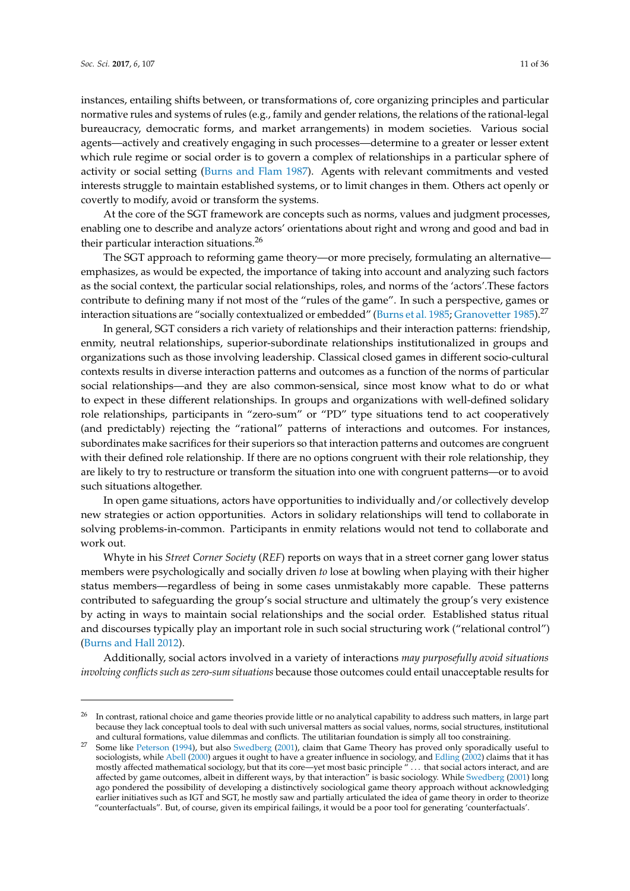instances, entailing shifts between, or transformations of, core organizing principles and particular normative rules and systems of rules (e.g., family and gender relations, the relations of the rational-legal bureaucracy, democratic forms, and market arrangements) in modem societies. Various social agents—actively and creatively engaging in such processes—determine to a greater or lesser extent which rule regime or social order is to govern a complex of relationships in a particular sphere of activity or social setting [\(Burns and Flam](#page-33-0) [1987\)](#page-33-0). Agents with relevant commitments and vested interests struggle to maintain established systems, or to limit changes in them. Others act openly or covertly to modify, avoid or transform the systems.

At the core of the SGT framework are concepts such as norms, values and judgment processes, enabling one to describe and analyze actors' orientations about right and wrong and good and bad in their particular interaction situations.<sup>26</sup>

The SGT approach to reforming game theory—or more precisely, formulating an alternative emphasizes, as would be expected, the importance of taking into account and analyzing such factors as the social context, the particular social relationships, roles, and norms of the 'actors'.These factors contribute to defining many if not most of the "rules of the game". In such a perspective, games or interaction situations are "socially contextualized or embedded" [\(Burns et al.](#page-34-6) [1985;](#page-34-6) [Granovetter](#page-34-17) [1985\)](#page-34-17).<sup>27</sup>

In general, SGT considers a rich variety of relationships and their interaction patterns: friendship, enmity, neutral relationships, superior-subordinate relationships institutionalized in groups and organizations such as those involving leadership. Classical closed games in different socio-cultural contexts results in diverse interaction patterns and outcomes as a function of the norms of particular social relationships—and they are also common-sensical, since most know what to do or what to expect in these different relationships. In groups and organizations with well-defined solidary role relationships, participants in "zero-sum" or "PD" type situations tend to act cooperatively (and predictably) rejecting the "rational" patterns of interactions and outcomes. For instances, subordinates make sacrifices for their superiors so that interaction patterns and outcomes are congruent with their defined role relationship. If there are no options congruent with their role relationship, they are likely to try to restructure or transform the situation into one with congruent patterns—or to avoid such situations altogether.

In open game situations, actors have opportunities to individually and/or collectively develop new strategies or action opportunities. Actors in solidary relationships will tend to collaborate in solving problems-in-common. Participants in enmity relations would not tend to collaborate and work out.

Whyte in his *Street Corner Society* (*REF*) reports on ways that in a street corner gang lower status members were psychologically and socially driven *to* lose at bowling when playing with their higher status members—regardless of being in some cases unmistakably more capable. These patterns contributed to safeguarding the group's social structure and ultimately the group's very existence by acting in ways to maintain social relationships and the social order. Established status ritual and discourses typically play an important role in such social structuring work ("relational control") [\(Burns and Hall](#page-33-1) [2012\)](#page-33-1).

Additionally, social actors involved in a variety of interactions *may purposefully avoid situations involving conflicts such as zero-sum situations* because those outcomes could entail unacceptable results for

<sup>&</sup>lt;sup>26</sup> In contrast, rational choice and game theories provide little or no analytical capability to address such matters, in large part because they lack conceptual tools to deal with such universal matters as social values, norms, social structures, institutional and cultural formations, value dilemmas and conflicts. The utilitarian foundation is simply all too constraining.

 $27$  Some like [Peterson](#page-35-11) [\(1994\)](#page-35-11), but also [Swedberg](#page-35-12) [\(2001\)](#page-35-12), claim that Game Theory has proved only sporadically useful to sociologists, while [Abell](#page-33-12) [\(2000\)](#page-33-12) argues it ought to have a greater influence in sociology, and [Edling](#page-34-20) [\(2002\)](#page-34-20) claims that it has mostly affected mathematical sociology, but that its core—yet most basic principle " . . . that social actors interact, and are affected by game outcomes, albeit in different ways, by that interaction" is basic sociology. While [Swedberg](#page-35-12) [\(2001\)](#page-35-12) long ago pondered the possibility of developing a distinctively sociological game theory approach without acknowledging earlier initiatives such as IGT and SGT, he mostly saw and partially articulated the idea of game theory in order to theorize "counterfactuals". But, of course, given its empirical failings, it would be a poor tool for generating 'counterfactuals'.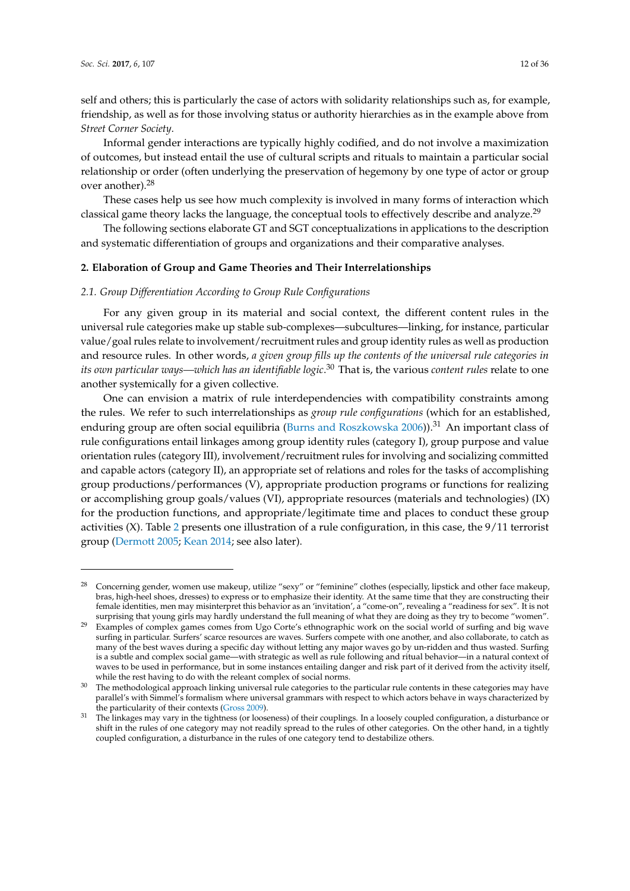self and others; this is particularly the case of actors with solidarity relationships such as, for example, friendship, as well as for those involving status or authority hierarchies as in the example above from *Street Corner Society*.

Informal gender interactions are typically highly codified, and do not involve a maximization of outcomes, but instead entail the use of cultural scripts and rituals to maintain a particular social relationship or order (often underlying the preservation of hegemony by one type of actor or group over another).<sup>28</sup>

These cases help us see how much complexity is involved in many forms of interaction which classical game theory lacks the language, the conceptual tools to effectively describe and analyze.<sup>29</sup>

The following sections elaborate GT and SGT conceptualizations in applications to the description and systematic differentiation of groups and organizations and their comparative analyses.

## **2. Elaboration of Group and Game Theories and Their Interrelationships**

#### *2.1. Group Differentiation According to Group Rule Configurations*

For any given group in its material and social context, the different content rules in the universal rule categories make up stable sub-complexes—subcultures—linking, for instance, particular value/goal rules relate to involvement/recruitment rules and group identity rules as well as production and resource rules. In other words, *a given group fills up the contents of the universal rule categories in its own particular ways—which has an identifiable logic*. <sup>30</sup> That is, the various *content rules* relate to one another systemically for a given collective.

One can envision a matrix of rule interdependencies with compatibility constraints among the rules. We refer to such interrelationships as *group rule configurations* (which for an established, enduring group are often social equilibria [\(Burns and Roszkowska](#page-33-10) [2006\)](#page-33-10)).<sup>31</sup> An important class of rule configurations entail linkages among group identity rules (category I), group purpose and value orientation rules (category III), involvement/recruitment rules for involving and socializing committed and capable actors (category II), an appropriate set of relations and roles for the tasks of accomplishing group productions/performances (V), appropriate production programs or functions for realizing or accomplishing group goals/values (VI), appropriate resources (materials and technologies) (IX) for the production functions, and appropriate/legitimate time and places to conduct these group activities (X). Table [2](#page-12-0) presents one illustration of a rule configuration, in this case, the 9/11 terrorist group [\(Dermott](#page-34-21) [2005;](#page-34-21) [Kean](#page-34-22) [2014;](#page-34-22) see also later).

<sup>28</sup> Concerning gender, women use makeup, utilize "sexy" or "feminine" clothes (especially, lipstick and other face makeup, bras, high-heel shoes, dresses) to express or to emphasize their identity. At the same time that they are constructing their female identities, men may misinterpret this behavior as an 'invitation', a "come-on", revealing a "readiness for sex". It is not surprising that young girls may hardly understand the full meaning of what they are doing as they try to become "women".

<sup>&</sup>lt;sup>29</sup> Examples of complex games comes from Ugo Corte's ethnographic work on the social world of surfing and big wave surfing in particular. Surfers' scarce resources are waves. Surfers compete with one another, and also collaborate, to catch as many of the best waves during a specific day without letting any major waves go by un-ridden and thus wasted. Surfing is a subtle and complex social game—with strategic as well as rule following and ritual behavior—in a natural context of waves to be used in performance, but in some instances entailing danger and risk part of it derived from the activity itself, while the rest having to do with the releant complex of social norms.

<sup>&</sup>lt;sup>30</sup> The methodological approach linking universal rule categories to the particular rule contents in these categories may have parallel's with Simmel's formalism where universal grammars with respect to which actors behave in ways characterized by the particularity of their contexts [\(Gross](#page-34-23) [2009\)](#page-34-23).

<sup>&</sup>lt;sup>31</sup> The linkages may vary in the tightness (or looseness) of their couplings. In a loosely coupled configuration, a disturbance or shift in the rules of one category may not readily spread to the rules of other categories. On the other hand, in a tightly coupled configuration, a disturbance in the rules of one category tend to destabilize others.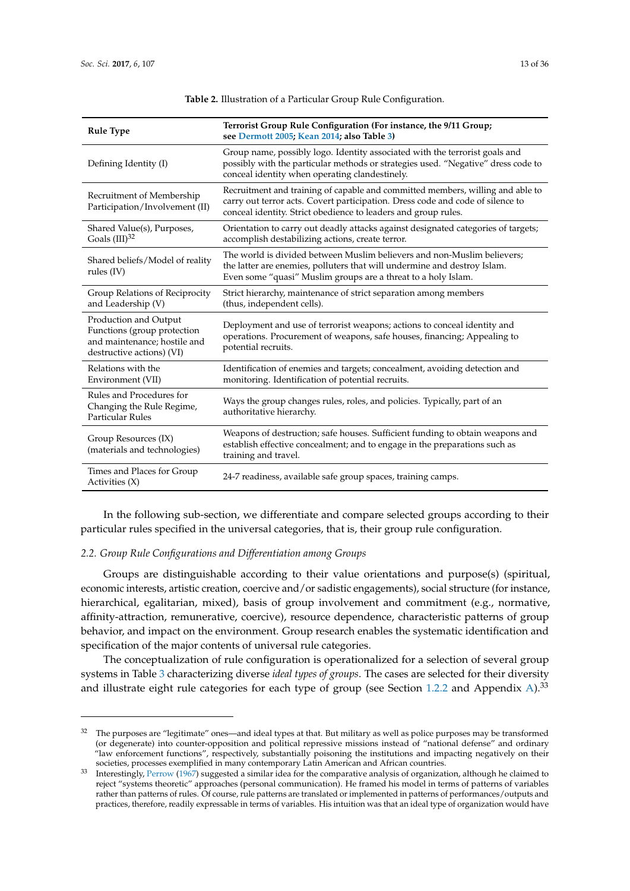<span id="page-12-0"></span>

| <b>Rule Type</b>                                                                                                  | Terrorist Group Rule Configuration (For instance, the 9/11 Group;<br>see Dermott 2005; Kean 2014; also Table 3)                                                                                                                    |  |  |  |
|-------------------------------------------------------------------------------------------------------------------|------------------------------------------------------------------------------------------------------------------------------------------------------------------------------------------------------------------------------------|--|--|--|
| Defining Identity (I)                                                                                             | Group name, possibly logo. Identity associated with the terrorist goals and<br>possibly with the particular methods or strategies used. "Negative" dress code to<br>conceal identity when operating clandestinely.                 |  |  |  |
| Recruitment of Membership<br>Participation/Involvement (II)                                                       | Recruitment and training of capable and committed members, willing and able to<br>carry out terror acts. Covert participation. Dress code and code of silence to<br>conceal identity. Strict obedience to leaders and group rules. |  |  |  |
| Shared Value(s), Purposes,<br>Goals $(III)^{32}$                                                                  | Orientation to carry out deadly attacks against designated categories of targets;<br>accomplish destabilizing actions, create terror.                                                                                              |  |  |  |
| Shared beliefs/Model of reality<br>rules $(IV)$                                                                   | The world is divided between Muslim believers and non-Muslim believers:<br>the latter are enemies, polluters that will undermine and destroy Islam.<br>Even some "quasi" Muslim groups are a threat to a holy Islam.               |  |  |  |
| Group Relations of Reciprocity<br>and Leadership (V)                                                              | Strict hierarchy, maintenance of strict separation among members<br>(thus, independent cells).                                                                                                                                     |  |  |  |
| Production and Output<br>Functions (group protection<br>and maintenance; hostile and<br>destructive actions) (VI) | Deployment and use of terrorist weapons; actions to conceal identity and<br>operations. Procurement of weapons, safe houses, financing; Appealing to<br>potential recruits.                                                        |  |  |  |
| Relations with the<br>Environment (VII)                                                                           | Identification of enemies and targets; concealment, avoiding detection and<br>monitoring. Identification of potential recruits.                                                                                                    |  |  |  |
| Rules and Procedures for<br>Changing the Rule Regime,<br><b>Particular Rules</b>                                  | Ways the group changes rules, roles, and policies. Typically, part of an<br>authoritative hierarchy.                                                                                                                               |  |  |  |
| Group Resources (IX)<br>(materials and technologies)                                                              | Weapons of destruction; safe houses. Sufficient funding to obtain weapons and<br>establish effective concealment; and to engage in the preparations such as<br>training and travel.                                                |  |  |  |
| Times and Places for Group<br>Activities $(X)$                                                                    | 24-7 readiness, available safe group spaces, training camps.                                                                                                                                                                       |  |  |  |

**Table 2.** Illustration of a Particular Group Rule Configuration.

In the following sub-section, we differentiate and compare selected groups according to their particular rules specified in the universal categories, that is, their group rule configuration.

## *2.2. Group Rule Configurations and Differentiation among Groups*

Groups are distinguishable according to their value orientations and purpose(s) (spiritual, economic interests, artistic creation, coercive and/or sadistic engagements), social structure (for instance, hierarchical, egalitarian, mixed), basis of group involvement and commitment (e.g., normative, affinity-attraction, remunerative, coercive), resource dependence, characteristic patterns of group behavior, and impact on the environment. Group research enables the systematic identification and specification of the major contents of universal rule categories.

The conceptualization of rule configuration is operationalized for a selection of several group systems in Table [3](#page-16-0) characterizing diverse *ideal types of groups*. The cases are selected for their diversity and illustrate eight rule categories for each type of group (see Section [1.2.2](#page-3-1) and Appendix [A\)](#page-26-0).<sup>33</sup>

 $32$  The purposes are "legitimate" ones—and ideal types at that. But military as well as police purposes may be transformed (or degenerate) into counter-opposition and political repressive missions instead of "national defense" and ordinary "law enforcement functions", respectively, substantially poisoning the institutions and impacting negatively on their societies, processes exemplified in many contemporary Latin American and African countries.

<sup>&</sup>lt;sup>33</sup> Interestingly, [Perrow](#page-35-13) [\(1967\)](#page-35-13) suggested a similar idea for the comparative analysis of organization, although he claimed to reject "systems theoretic" approaches (personal communication). He framed his model in terms of patterns of variables rather than patterns of rules. Of course, rule patterns are translated or implemented in patterns of performances/outputs and practices, therefore, readily expressable in terms of variables. His intuition was that an ideal type of organization would have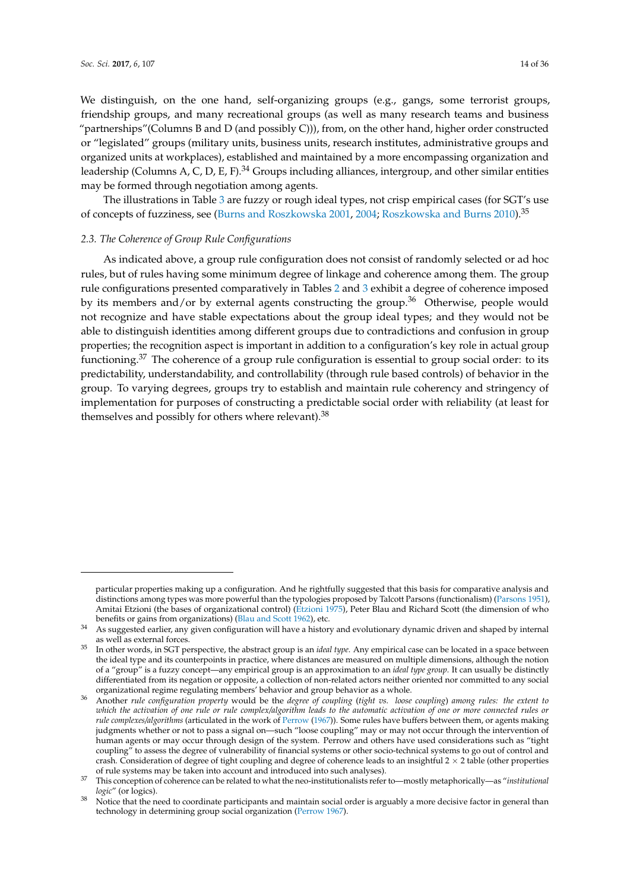We distinguish, on the one hand, self-organizing groups (e.g., gangs, some terrorist groups, friendship groups, and many recreational groups (as well as many research teams and business "partnerships"(Columns B and D (and possibly C))), from, on the other hand, higher order constructed or "legislated" groups (military units, business units, research institutes, administrative groups and organized units at workplaces), established and maintained by a more encompassing organization and leadership (Columns A, C, D, E, F).<sup>34</sup> Groups including alliances, intergroup, and other similar entities may be formed through negotiation among agents.

The illustrations in Table [3](#page-16-0) are fuzzy or rough ideal types, not crisp empirical cases (for SGT's use of concepts of fuzziness, see [\(Burns and Roszkowska](#page-33-13) [2001,](#page-33-13) [2004;](#page-33-14) [Roszkowska and Burns](#page-35-14) [2010\)](#page-35-14).<sup>35</sup>

#### *2.3. The Coherence of Group Rule Configurations*

As indicated above, a group rule configuration does not consist of randomly selected or ad hoc rules, but of rules having some minimum degree of linkage and coherence among them. The group rule configurations presented comparatively in Tables [2](#page-12-0) and [3](#page-16-0) exhibit a degree of coherence imposed by its members and/or by external agents constructing the group.<sup>36</sup> Otherwise, people would not recognize and have stable expectations about the group ideal types; and they would not be able to distinguish identities among different groups due to contradictions and confusion in group properties; the recognition aspect is important in addition to a configuration's key role in actual group functioning.<sup>37</sup> The coherence of a group rule configuration is essential to group social order: to its predictability, understandability, and controllability (through rule based controls) of behavior in the group. To varying degrees, groups try to establish and maintain rule coherency and stringency of implementation for purposes of constructing a predictable social order with reliability (at least for themselves and possibly for others where relevant).<sup>38</sup>

particular properties making up a configuration. And he rightfully suggested that this basis for comparative analysis and distinctions among types was more powerful than the typologies proposed by Talcott Parsons (functionalism) [\(Parsons](#page-35-15) [1951\)](#page-35-15), Amitai Etzioni (the bases of organizational control) [\(Etzioni](#page-34-24) [1975\)](#page-34-24), Peter Blau and Richard Scott (the dimension of who benefits or gains from organizations) [\(Blau and Scott](#page-33-15) [1962\)](#page-33-15), etc.

<sup>&</sup>lt;sup>34</sup> As suggested earlier, any given configuration will have a history and evolutionary dynamic driven and shaped by internal as well as external forces.

<sup>35</sup> In other words, in SGT perspective, the abstract group is an *ideal type*. Any empirical case can be located in a space between the ideal type and its counterpoints in practice, where distances are measured on multiple dimensions, although the notion of a "group" is a fuzzy concept—any empirical group is an approximation to an *ideal type group.* It can usually be distinctly differentiated from its negation or opposite, a collection of non-related actors neither oriented nor committed to any social organizational regime regulating members' behavior and group behavior as a whole.

<sup>36</sup> Another *rule configuration property* would be the *degree of coupling* (*tight vs. loose coupling*) *among rules: the extent to which the activation of one rule or rule complex/algorithm leads to the automatic activation of one or more connected rules or rule complexes/algorithms* (articulated in the work of [Perrow](#page-35-13) [\(1967\)](#page-35-13)). Some rules have buffers between them, or agents making judgments whether or not to pass a signal on—such "loose coupling" may or may not occur through the intervention of human agents or may occur through design of the system. Perrow and others have used considerations such as "tight coupling" to assess the degree of vulnerability of financial systems or other socio-technical systems to go out of control and crash. Consideration of degree of tight coupling and degree of coherence leads to an insightful  $2 \times 2$  table (other properties of rule systems may be taken into account and introduced into such analyses).

<sup>37</sup> This conception of coherence can be related to what the neo-institutionalists refer to—mostly metaphorically—as "*institutional logic*" (or logics).

Notice that the need to coordinate participants and maintain social order is arguably a more decisive factor in general than technology in determining group social organization [\(Perrow](#page-35-13) [1967\)](#page-35-13).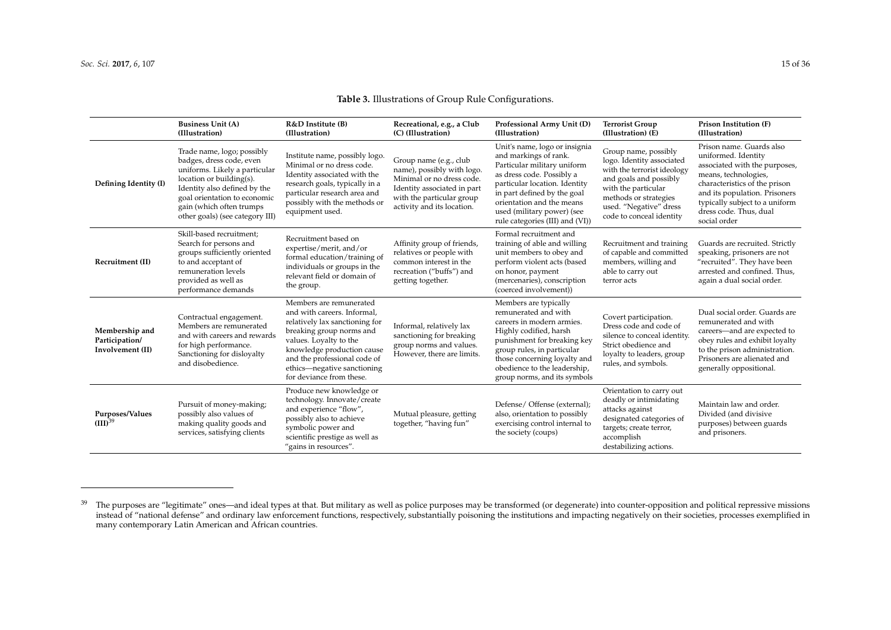## **Table 3.** Illustrations of Group Rule Configurations.

|                                                      | <b>Business Unit (A)</b><br>(Illustration)                                                                                                                                                                                                         | R&D Institute (B)<br>(Illustration)                                                                                                                                                                                                                                     | Recreational, e.g., a Club<br>(C) (Illustration)                                                                                                                            | Professional Army Unit (D)<br>(Illustration)                                                                                                                                                                                                                                     | <b>Terrorist Group</b><br>(Illustration) (E)                                                                                                                                                                     | Prison Institution (F)<br>(Illustration)                                                                                                                                                                                                               |
|------------------------------------------------------|----------------------------------------------------------------------------------------------------------------------------------------------------------------------------------------------------------------------------------------------------|-------------------------------------------------------------------------------------------------------------------------------------------------------------------------------------------------------------------------------------------------------------------------|-----------------------------------------------------------------------------------------------------------------------------------------------------------------------------|----------------------------------------------------------------------------------------------------------------------------------------------------------------------------------------------------------------------------------------------------------------------------------|------------------------------------------------------------------------------------------------------------------------------------------------------------------------------------------------------------------|--------------------------------------------------------------------------------------------------------------------------------------------------------------------------------------------------------------------------------------------------------|
| Defining Identity (I)                                | Trade name, logo; possibly<br>badges, dress code, even<br>uniforms. Likely a particular<br>location or building(s).<br>Identity also defined by the<br>goal orientation to economic<br>gain (which often trumps<br>other goals) (see category III) | Institute name, possibly logo.<br>Minimal or no dress code.<br>Identity associated with the<br>research goals, typically in a<br>particular research area and<br>possibly with the methods or<br>equipment used.                                                        | Group name (e.g., club<br>name), possibly with logo.<br>Minimal or no dress code.<br>Identity associated in part<br>with the particular group<br>activity and its location. | Unit's name, logo or insignia<br>and markings of rank.<br>Particular military uniform<br>as dress code. Possibly a<br>particular location. Identity<br>in part defined by the goal<br>orientation and the means<br>used (military power) (see<br>rule categories (III) and (VI)) | Group name, possibly<br>logo. Identity associated<br>with the terrorist ideology<br>and goals and possibly<br>with the particular<br>methods or strategies<br>used. "Negative" dress<br>code to conceal identity | Prison name. Guards also<br>uniformed. Identity<br>associated with the purposes,<br>means, technologies,<br>characteristics of the prison<br>and its population. Prisoners<br>typically subject to a uniform<br>dress code. Thus, dual<br>social order |
| Recruitment (II)                                     | Skill-based recruitment;<br>Search for persons and<br>groups sufficiently oriented<br>to and acceptant of<br>remuneration levels<br>provided as well as<br>performance demands                                                                     | Recruitment based on<br>expertise/merit, and/or<br>formal education/training of<br>individuals or groups in the<br>relevant field or domain of<br>the group.                                                                                                            | Affinity group of friends,<br>relatives or people with<br>common interest in the<br>recreation ("buffs") and<br>getting together.                                           | Formal recruitment and<br>training of able and willing<br>unit members to obey and<br>perform violent acts (based<br>on honor, payment<br>(mercenaries), conscription<br>(coerced involvement))                                                                                  | Recruitment and training<br>of capable and committed<br>members, willing and<br>able to carry out<br>terror acts                                                                                                 | Guards are recruited. Strictly<br>speaking, prisoners are not<br>"recruited". They have been<br>arrested and confined. Thus,<br>again a dual social order.                                                                                             |
| Membership and<br>Participation/<br>Involvement (II) | Contractual engagement.<br>Members are remunerated<br>and with careers and rewards<br>for high performance.<br>Sanctioning for disloyalty<br>and disobedience.                                                                                     | Members are remunerated<br>and with careers. Informal,<br>relatively lax sanctioning for<br>breaking group norms and<br>values. Loyalty to the<br>knowledge production cause<br>and the professional code of<br>ethics-negative sanctioning<br>for deviance from these. | Informal, relatively lax<br>sanctioning for breaking<br>group norms and values.<br>However, there are limits.                                                               | Members are typically<br>remunerated and with<br>careers in modern armies.<br>Highly codified, harsh<br>punishment for breaking key<br>group rules, in particular<br>those concerning loyalty and<br>obedience to the leadership,<br>group norms, and its symbols                | Covert participation.<br>Dress code and code of<br>silence to conceal identity.<br>Strict obedience and<br>loyalty to leaders, group<br>rules, and symbols.                                                      | Dual social order. Guards are<br>remunerated and with<br>careers-and are expected to<br>obey rules and exhibit loyalty<br>to the prison administration.<br>Prisoners are alienated and<br>generally oppositional.                                      |
| Purposes/Values<br>$(III)^{39}$                      | Pursuit of money-making;<br>possibly also values of<br>making quality goods and<br>services, satisfying clients                                                                                                                                    | Produce new knowledge or<br>technology. Innovate/create<br>and experience "flow",<br>possibly also to achieve<br>symbolic power and<br>scientific prestige as well as<br>"gains in resources".                                                                          | Mutual pleasure, getting<br>together, "having fun"                                                                                                                          | Defense / Offense (external);<br>also, orientation to possibly<br>exercising control internal to<br>the society (coups)                                                                                                                                                          | Orientation to carry out<br>deadly or intimidating<br>attacks against<br>designated categories of<br>targets; create terror,<br>accomplish<br>destabilizing actions.                                             | Maintain law and order.<br>Divided (and divisive<br>purposes) between guards<br>and prisoners.                                                                                                                                                         |

<sup>&</sup>lt;sup>39</sup> The purposes are "legitimate" ones—and ideal types at that. But military as well as police purposes may be transformed (or degenerate) into counter-opposition and political repressive missions instead of "national defense" and ordinary law enforcement functions, respectively, substantially poisoning the institutions and impacting negatively on their societies, processes exemplified in many contemporary Latin American and African countries.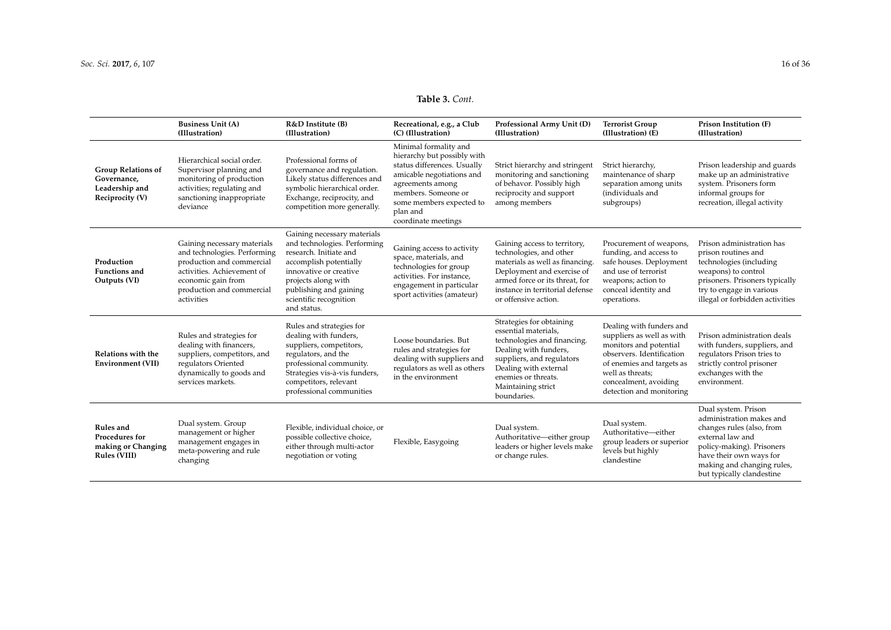## **Table 3.** *Cont.*

|                                                                               | <b>Business Unit (A)</b><br>(Illustration)                                                                                                                                              | R&D Institute (B)<br>(Illustration)                                                                                                                                                                                                 | Recreational, e.g., a Club<br>(C) (Illustration)                                                                                                                                                                           | Professional Army Unit (D)<br>(Illustration)                                                                                                                                                                               | <b>Terrorist Group</b><br>(Illustration) (E)                                                                                                                                                                       | Prison Institution (F)<br>(Illustration)                                                                                                                                                                            |
|-------------------------------------------------------------------------------|-----------------------------------------------------------------------------------------------------------------------------------------------------------------------------------------|-------------------------------------------------------------------------------------------------------------------------------------------------------------------------------------------------------------------------------------|----------------------------------------------------------------------------------------------------------------------------------------------------------------------------------------------------------------------------|----------------------------------------------------------------------------------------------------------------------------------------------------------------------------------------------------------------------------|--------------------------------------------------------------------------------------------------------------------------------------------------------------------------------------------------------------------|---------------------------------------------------------------------------------------------------------------------------------------------------------------------------------------------------------------------|
| <b>Group Relations of</b><br>Governance,<br>Leadership and<br>Reciprocity (V) | Hierarchical social order.<br>Supervisor planning and<br>monitoring of production<br>activities; regulating and<br>sanctioning inappropriate<br>deviance                                | Professional forms of<br>governance and regulation.<br>Likely status differences and<br>symbolic hierarchical order.<br>Exchange, reciprocity, and<br>competition more generally.                                                   | Minimal formality and<br>hierarchy but possibly with<br>status differences. Usually<br>amicable negotiations and<br>agreements among<br>members. Someone or<br>some members expected to<br>plan and<br>coordinate meetings | Strict hierarchy and stringent<br>monitoring and sanctioning<br>of behavor. Possibly high<br>reciprocity and support<br>among members                                                                                      | Strict hierarchy,<br>maintenance of sharp<br>separation among units<br>(individuals and<br>subgroups)                                                                                                              | Prison leadership and guards<br>make up an administrative<br>system. Prisoners form<br>informal groups for<br>recreation, illegal activity                                                                          |
| Production<br><b>Functions and</b><br>Outputs (VI)                            | Gaining necessary materials<br>and technologies. Performing<br>production and commercial<br>activities. Achievement of<br>economic gain from<br>production and commercial<br>activities | Gaining necessary materials<br>and technologies. Performing<br>research. Initiate and<br>accomplish potentially<br>innovative or creative<br>projects along with<br>publishing and gaining<br>scientific recognition<br>and status. | Gaining access to activity<br>space, materials, and<br>technologies for group<br>activities. For instance,<br>engagement in particular<br>sport activities (amateur)                                                       | Gaining access to territory,<br>technologies, and other<br>materials as well as financing.<br>Deployment and exercise of<br>armed force or its threat, for<br>instance in territorial defense<br>or offensive action.      | Procurement of weapons,<br>funding, and access to<br>safe houses. Deployment<br>and use of terrorist<br>weapons; action to<br>conceal identity and<br>operations.                                                  | Prison administration has<br>prison routines and<br>technologies (including<br>weapons) to control<br>prisoners. Prisoners typically<br>try to engage in various<br>illegal or forbidden activities                 |
| Relations with the<br>Environment (VII)                                       | Rules and strategies for<br>dealing with financers,<br>suppliers, competitors, and<br>regulators Oriented<br>dynamically to goods and<br>services markets.                              | Rules and strategies for<br>dealing with funders,<br>suppliers, competitors,<br>regulators, and the<br>professional community.<br>Strategies vis-à-vis funders,<br>competitors, relevant<br>professional communities                | Loose boundaries. But<br>rules and strategies for<br>dealing with suppliers and<br>regulators as well as others<br>in the environment                                                                                      | Strategies for obtaining<br>essential materials,<br>technologies and financing.<br>Dealing with funders,<br>suppliers, and regulators<br>Dealing with external<br>enemies or threats.<br>Maintaining strict<br>boundaries. | Dealing with funders and<br>suppliers as well as with<br>monitors and potential<br>observers. Identification<br>of enemies and targets as<br>well as threats;<br>concealment, avoiding<br>detection and monitoring | Prison administration deals<br>with funders, suppliers, and<br>regulators Prison tries to<br>strictly control prisoner<br>exchanges with the<br>environment.                                                        |
| Rules and<br>Procedures for<br>making or Changing<br>Rules (VIII)             | Dual system. Group<br>management or higher<br>management engages in<br>meta-powering and rule<br>changing                                                                               | Flexible, individual choice, or<br>possible collective choice,<br>either through multi-actor<br>negotiation or voting                                                                                                               | Flexible, Easygoing                                                                                                                                                                                                        | Dual system.<br>Authoritative-either group<br>leaders or higher levels make<br>or change rules.                                                                                                                            | Dual system.<br>Authoritative-either<br>group leaders or superior<br>levels but highly<br>clandestine                                                                                                              | Dual system. Prison<br>administration makes and<br>changes rules (also, from<br>external law and<br>policy-making). Prisoners<br>have their own ways for<br>making and changing rules,<br>but typically clandestine |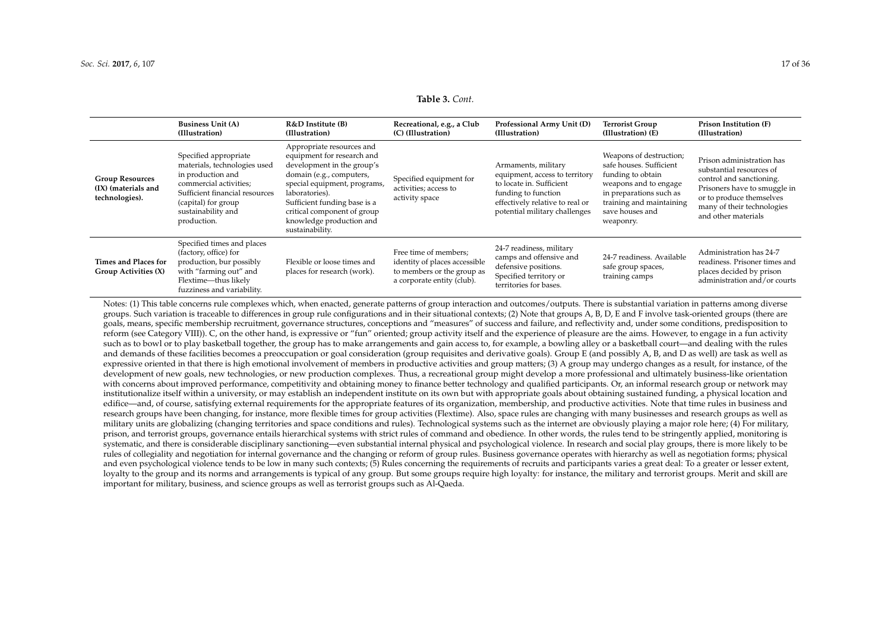#### **Table 3.** *Cont.*

|                                                                 | <b>Business Unit (A)</b><br>(Illustration)                                                                                                                                                         | R&D Institute (B)<br>(Illustration)                                                                                                                                                                                                                                               | Recreational, e.g., a Club<br>(C) (Illustration)                                                                   | Professional Army Unit (D)<br>(Illustration)                                                                                                                                 | Terrorist Group<br>(Illustration) (E)                                                                                                                                                   | Prison Institution (F)<br>(Illustration)                                                                                                                                                           |
|-----------------------------------------------------------------|----------------------------------------------------------------------------------------------------------------------------------------------------------------------------------------------------|-----------------------------------------------------------------------------------------------------------------------------------------------------------------------------------------------------------------------------------------------------------------------------------|--------------------------------------------------------------------------------------------------------------------|------------------------------------------------------------------------------------------------------------------------------------------------------------------------------|-----------------------------------------------------------------------------------------------------------------------------------------------------------------------------------------|----------------------------------------------------------------------------------------------------------------------------------------------------------------------------------------------------|
| <b>Group Resources</b><br>(IX) (materials and<br>technologies). | Specified appropriate<br>materials, technologies used<br>in production and<br>commercial activities;<br>Sufficient financial resources<br>(capital) for group<br>sustainability and<br>production. | Appropriate resources and<br>equipment for research and<br>development in the group's<br>domain (e.g., computers,<br>special equipment, programs,<br>laboratories).<br>Sufficient funding base is a<br>critical component of group<br>knowledge production and<br>sustainability. | Specified equipment for<br>activities; access to<br>activity space                                                 | Armaments, military<br>equipment, access to territory<br>to locate in. Sufficient<br>funding to function<br>effectively relative to real or<br>potential military challenges | Weapons of destruction;<br>safe houses. Sufficient<br>funding to obtain<br>weapons and to engage<br>in preparations such as<br>training and maintaining<br>save houses and<br>weaponry. | Prison administration has<br>substantial resources of<br>control and sanctioning.<br>Prisoners have to smuggle in<br>or to produce themselves<br>many of their technologies<br>and other materials |
| Times and Places for<br>Group Activities (X)                    | Specified times and places<br>(factory, office) for<br>production, bur possibly<br>with "farming out" and<br>Flextime-thus likely<br>fuzziness and variability.                                    | Flexible or loose times and<br>places for research (work).                                                                                                                                                                                                                        | Free time of members;<br>identity of places accessible<br>to members or the group as<br>a corporate entity (club). | 24-7 readiness, military<br>camps and offensive and<br>defensive positions.<br>Specified territory or<br>territories for bases.                                              | 24-7 readiness. Available<br>safe group spaces,<br>training camps                                                                                                                       | Administration has 24-7<br>readiness. Prisoner times and<br>places decided by prison<br>administration and/or courts                                                                               |

<span id="page-16-0"></span>Notes: (1) This table concerns rule complexes which, when enacted, generate patterns of group interaction and outcomes/outputs. There is substantial variation in patterns among diverse groups. Such variation is traceable to differences in group rule configurations and in their situational contexts; (2) Note that groups A, B, D, E and F involve task-oriented groups (there are goals, means, specific membership recruitment, governance structures, conceptions and "measures" of success and failure, and reflectivity and, under some conditions, predisposition to reform (see Category VIII)). C, on the other hand, is expressive or "fun" oriented; group activity itself and the experience of pleasure are the aims. However, to engage in a fun activity such as to bowl or to play basketball together, the group has to make arrangements and gain access to, for example, a bowling alley or a basketball court—and dealing with the rules and demands of these facilities becomes a preoccupation or goal consideration (group requisites and derivative goals). Group E (and possibly A, B, and D as well) are task as well as expressive oriented in that there is high emotional involvement of members in productive activities and group matters; (3) A group may undergo changes as a result, for instance, of the development of new goals, new technologies, or new production complexes. Thus, a recreational group might develop a more professional and ultimately business-like orientation with concerns about improved performance, competitivity and obtaining money to finance better technology and qualified participants. Or, an informal research group or network may institutionalize itself within a university, or may establish an independent institute on its own but with appropriate goals about obtaining sustained funding, a physical location and edifice—and, of course, satisfying external requirements for the appropriate features of its organization, membership, and productive activities. Note that time rules in business and research groups have been changing, for instance, more flexible times for group activities (Flextime). Also, space rules are changing with many businesses and research groups as well as military units are globalizing (changing territories and space conditions and rules). Technological systems such as the internet are obviously playing a major role here; (4) For military, prison, and terrorist groups, governance entails hierarchical systems with strict rules of command and obedience. In other words, the rules tend to be stringently applied, monitoring is systematic, and there is considerable disciplinary sanctioning—even substantial internal physical and psychological violence. In research and social play groups, there is more likely to be rules of collegiality and negotiation for internal governance and the changing or reform of group rules. Business governance operates with hierarchy as well as negotiation forms; physical and even psychological violence tends to be low in many such contexts; (5) Rules concerning the requirements of recruits and participants varies a great deal: To a greater or lesser extent, loyalty to the group and its norms and arrangements is typical of any group. But some groups require high loyalty: for instance, the military and terrorist groups. Merit and skill are important for military, business, and science groups as well as terrorist groups such as Al-Qaeda.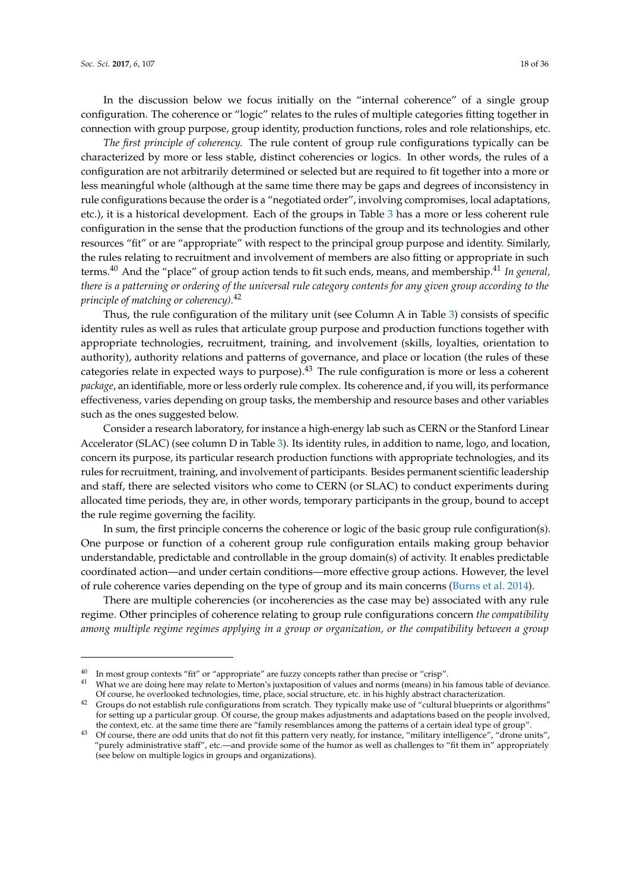In the discussion below we focus initially on the "internal coherence" of a single group configuration. The coherence or "logic" relates to the rules of multiple categories fitting together in connection with group purpose, group identity, production functions, roles and role relationships, etc.

*The first principle of coherency.* The rule content of group rule configurations typically can be characterized by more or less stable, distinct coherencies or logics. In other words, the rules of a configuration are not arbitrarily determined or selected but are required to fit together into a more or less meaningful whole (although at the same time there may be gaps and degrees of inconsistency in rule configurations because the order is a "negotiated order", involving compromises, local adaptations, etc.), it is a historical development. Each of the groups in Table [3](#page-16-0) has a more or less coherent rule configuration in the sense that the production functions of the group and its technologies and other resources "fit" or are "appropriate" with respect to the principal group purpose and identity. Similarly, the rules relating to recruitment and involvement of members are also fitting or appropriate in such terms.<sup>40</sup> And the "place" of group action tends to fit such ends, means, and membership.<sup>41</sup> *In general, there is a patterning or ordering of the universal rule category contents for any given group according to the principle of matching or coherency).*<sup>42</sup>

Thus, the rule configuration of the military unit (see Column A in Table [3\)](#page-16-0) consists of specific identity rules as well as rules that articulate group purpose and production functions together with appropriate technologies, recruitment, training, and involvement (skills, loyalties, orientation to authority), authority relations and patterns of governance, and place or location (the rules of these categories relate in expected ways to purpose).<sup>43</sup> The rule configuration is more or less a coherent *package*, an identifiable, more or less orderly rule complex. Its coherence and, if you will, its performance effectiveness, varies depending on group tasks, the membership and resource bases and other variables such as the ones suggested below.

Consider a research laboratory, for instance a high-energy lab such as CERN or the Stanford Linear Accelerator (SLAC) (see column D in Table [3\)](#page-16-0). Its identity rules, in addition to name, logo, and location, concern its purpose, its particular research production functions with appropriate technologies, and its rules for recruitment, training, and involvement of participants. Besides permanent scientific leadership and staff, there are selected visitors who come to CERN (or SLAC) to conduct experiments during allocated time periods, they are, in other words, temporary participants in the group, bound to accept the rule regime governing the facility.

In sum, the first principle concerns the coherence or logic of the basic group rule configuration(s). One purpose or function of a coherent group rule configuration entails making group behavior understandable, predictable and controllable in the group domain(s) of activity. It enables predictable coordinated action—and under certain conditions—more effective group actions. However, the level of rule coherence varies depending on the type of group and its main concerns [\(Burns et al.](#page-34-25) [2014\)](#page-34-25).

There are multiple coherencies (or incoherencies as the case may be) associated with any rule regime. Other principles of coherence relating to group rule configurations concern *the compatibility among multiple regime regimes applying in a group or organization, or the compatibility between a group*

<sup>&</sup>lt;sup>40</sup> In most group contexts "fit" or "appropriate" are fuzzy concepts rather than precise or "crisp".

What we are doing here may relate to Merton's juxtaposition of values and norms (means) in his famous table of deviance. Of course, he overlooked technologies, time, place, social structure, etc. in his highly abstract characterization.

<sup>&</sup>lt;sup>42</sup> Groups do not establish rule configurations from scratch. They typically make use of "cultural blueprints or algorithms" for setting up a particular group. Of course, the group makes adjustments and adaptations based on the people involved, the context, etc. at the same time there are "family resemblances among the patterns of a certain ideal type of group".

<sup>&</sup>lt;sup>43</sup> Of course, there are odd units that do not fit this pattern very neatly, for instance, "military intelligence", "drone units", "purely administrative staff", etc.—and provide some of the humor as well as challenges to "fit them in" appropriately (see below on multiple logics in groups and organizations).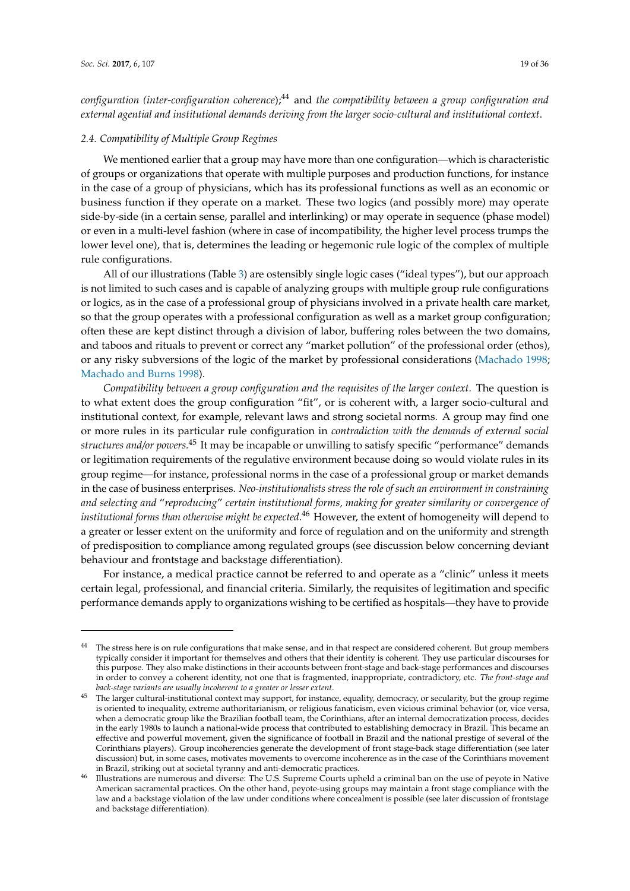*configuration (inter-configuration coherence*);<sup>44</sup> and *the compatibility between a group configuration and external agential and institutional demands deriving from the larger socio-cultural and institutional context*.

## *2.4. Compatibility of Multiple Group Regimes*

We mentioned earlier that a group may have more than one configuration—which is characteristic of groups or organizations that operate with multiple purposes and production functions, for instance in the case of a group of physicians, which has its professional functions as well as an economic or business function if they operate on a market. These two logics (and possibly more) may operate side-by-side (in a certain sense, parallel and interlinking) or may operate in sequence (phase model) or even in a multi-level fashion (where in case of incompatibility, the higher level process trumps the lower level one), that is, determines the leading or hegemonic rule logic of the complex of multiple rule configurations.

All of our illustrations (Table [3\)](#page-16-0) are ostensibly single logic cases ("ideal types"), but our approach is not limited to such cases and is capable of analyzing groups with multiple group rule configurations or logics, as in the case of a professional group of physicians involved in a private health care market, so that the group operates with a professional configuration as well as a market group configuration; often these are kept distinct through a division of labor, buffering roles between the two domains, and taboos and rituals to prevent or correct any "market pollution" of the professional order (ethos), or any risky subversions of the logic of the market by professional considerations [\(Machado](#page-35-6) [1998;](#page-35-6) [Machado and Burns](#page-35-16) [1998\)](#page-35-16).

*Compatibility between a group configuration and the requisites of the larger context.* The question is to what extent does the group configuration "fit", or is coherent with, a larger socio-cultural and institutional context, for example, relevant laws and strong societal norms. A group may find one or more rules in its particular rule configuration in *contradiction with the demands of external social structures and/or powers.*<sup>45</sup> It may be incapable or unwilling to satisfy specific "performance" demands or legitimation requirements of the regulative environment because doing so would violate rules in its group regime—for instance, professional norms in the case of a professional group or market demands in the case of business enterprises. *Neo-institutionalists stress the role of such an environment in constraining and selecting and* "*reproducing*" *certain institutional forms, making for greater similarity or convergence of institutional forms than otherwise might be expected*. <sup>46</sup> However, the extent of homogeneity will depend to a greater or lesser extent on the uniformity and force of regulation and on the uniformity and strength of predisposition to compliance among regulated groups (see discussion below concerning deviant behaviour and frontstage and backstage differentiation).

For instance, a medical practice cannot be referred to and operate as a "clinic" unless it meets certain legal, professional, and financial criteria. Similarly, the requisites of legitimation and specific performance demands apply to organizations wishing to be certified as hospitals—they have to provide

<sup>&</sup>lt;sup>44</sup> The stress here is on rule configurations that make sense, and in that respect are considered coherent. But group members typically consider it important for themselves and others that their identity is coherent. They use particular discourses for this purpose. They also make distinctions in their accounts between front-stage and back-stage performances and discourses in order to convey a coherent identity, not one that is fragmented, inappropriate, contradictory, etc. *The front-stage and back-stage variants are usually incoherent to a greater or lesser extent*.

<sup>45</sup> The larger cultural-institutional context may support, for instance, equality, democracy, or secularity, but the group regime is oriented to inequality, extreme authoritarianism, or religious fanaticism, even vicious criminal behavior (or, vice versa, when a democratic group like the Brazilian football team, the Corinthians, after an internal democratization process, decides in the early 1980s to launch a national-wide process that contributed to establishing democracy in Brazil. This became an effective and powerful movement, given the significance of football in Brazil and the national prestige of several of the Corinthians players). Group incoherencies generate the development of front stage-back stage differentiation (see later discussion) but, in some cases, motivates movements to overcome incoherence as in the case of the Corinthians movement in Brazil, striking out at societal tyranny and anti-democratic practices.

Illustrations are numerous and diverse: The U.S. Supreme Courts upheld a criminal ban on the use of peyote in Native American sacramental practices. On the other hand, peyote-using groups may maintain a front stage compliance with the law and a backstage violation of the law under conditions where concealment is possible (see later discussion of frontstage and backstage differentiation).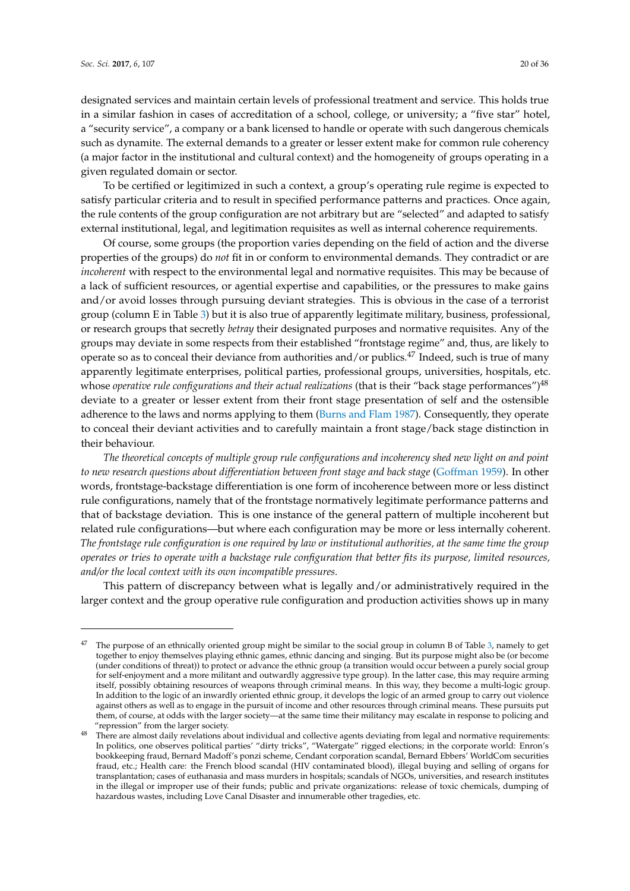designated services and maintain certain levels of professional treatment and service. This holds true in a similar fashion in cases of accreditation of a school, college, or university; a "five star" hotel, a "security service", a company or a bank licensed to handle or operate with such dangerous chemicals such as dynamite. The external demands to a greater or lesser extent make for common rule coherency (a major factor in the institutional and cultural context) and the homogeneity of groups operating in a given regulated domain or sector.

To be certified or legitimized in such a context, a group's operating rule regime is expected to satisfy particular criteria and to result in specified performance patterns and practices. Once again, the rule contents of the group configuration are not arbitrary but are "selected" and adapted to satisfy external institutional, legal, and legitimation requisites as well as internal coherence requirements.

Of course, some groups (the proportion varies depending on the field of action and the diverse properties of the groups) do *not* fit in or conform to environmental demands. They contradict or are *incoherent* with respect to the environmental legal and normative requisites. This may be because of a lack of sufficient resources, or agential expertise and capabilities, or the pressures to make gains and/or avoid losses through pursuing deviant strategies. This is obvious in the case of a terrorist group (column E in Table [3\)](#page-16-0) but it is also true of apparently legitimate military, business, professional, or research groups that secretly *betray* their designated purposes and normative requisites. Any of the groups may deviate in some respects from their established "frontstage regime" and, thus, are likely to operate so as to conceal their deviance from authorities and/or publics.<sup>47</sup> Indeed, such is true of many apparently legitimate enterprises, political parties, professional groups, universities, hospitals, etc. whose *operative rule configurations and their actual realizations* (that is their "back stage performances")<sup>48</sup> deviate to a greater or lesser extent from their front stage presentation of self and the ostensible adherence to the laws and norms applying to them [\(Burns and Flam](#page-33-0) [1987\)](#page-33-0). Consequently, they operate to conceal their deviant activities and to carefully maintain a front stage/back stage distinction in their behaviour.

*The theoretical concepts of multiple group rule configurations and incoherency shed new light on and point to new research questions about differentiation between front stage and back stage* [\(Goffman](#page-34-15) [1959\)](#page-34-15). In other words, frontstage-backstage differentiation is one form of incoherence between more or less distinct rule configurations, namely that of the frontstage normatively legitimate performance patterns and that of backstage deviation. This is one instance of the general pattern of multiple incoherent but related rule configurations—but where each configuration may be more or less internally coherent. *The frontstage rule configuration is one required by law or institutional authorities, at the same time the group operates or tries to operate with a backstage rule configuration that better fits its purpose, limited resources, and/or the local context with its own incompatible pressures.*

This pattern of discrepancy between what is legally and/or administratively required in the larger context and the group operative rule configuration and production activities shows up in many

The purpose of an ethnically oriented group might be similar to the social group in column B of Table [3,](#page-16-0) namely to get together to enjoy themselves playing ethnic games, ethnic dancing and singing. But its purpose might also be (or become (under conditions of threat)) to protect or advance the ethnic group (a transition would occur between a purely social group for self-enjoyment and a more militant and outwardly aggressive type group). In the latter case, this may require arming itself, possibly obtaining resources of weapons through criminal means. In this way, they become a multi-logic group. In addition to the logic of an inwardly oriented ethnic group, it develops the logic of an armed group to carry out violence against others as well as to engage in the pursuit of income and other resources through criminal means. These pursuits put them, of course, at odds with the larger society—at the same time their militancy may escalate in response to policing and "repression" from the larger society.

<sup>&</sup>lt;sup>48</sup> There are almost daily revelations about individual and collective agents deviating from legal and normative requirements: In politics, one observes political parties' "dirty tricks", "Watergate" rigged elections; in the corporate world: Enron's bookkeeping fraud, Bernard Madoff's ponzi scheme, Cendant corporation scandal, Bernard Ebbers' WorldCom securities fraud, etc.; Health care: the French blood scandal (HIV contaminated blood), illegal buying and selling of organs for transplantation; cases of euthanasia and mass murders in hospitals; scandals of NGOs, universities, and research institutes in the illegal or improper use of their funds; public and private organizations: release of toxic chemicals, dumping of hazardous wastes, including Love Canal Disaster and innumerable other tragedies, etc.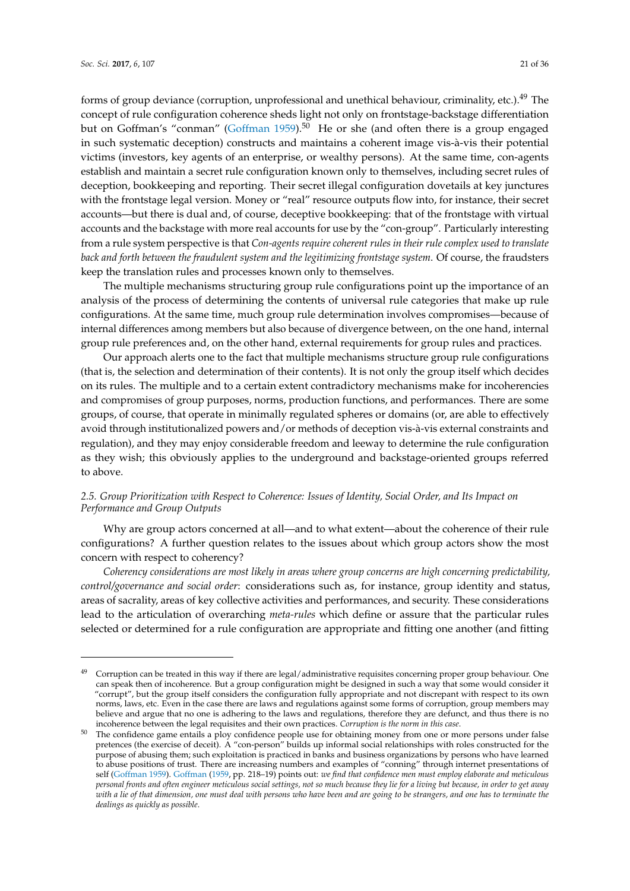forms of group deviance (corruption, unprofessional and unethical behaviour, criminality, etc.).<sup>49</sup> The concept of rule configuration coherence sheds light not only on frontstage-backstage differentiation but on Goffman's "conman" [\(Goffman](#page-34-15) [1959\)](#page-34-15).<sup>50</sup> He or she (and often there is a group engaged in such systematic deception) constructs and maintains a coherent image vis-à-vis their potential victims (investors, key agents of an enterprise, or wealthy persons). At the same time, con-agents establish and maintain a secret rule configuration known only to themselves, including secret rules of deception, bookkeeping and reporting. Their secret illegal configuration dovetails at key junctures with the frontstage legal version. Money or "real" resource outputs flow into, for instance, their secret accounts—but there is dual and, of course, deceptive bookkeeping: that of the frontstage with virtual accounts and the backstage with more real accounts for use by the "con-group". Particularly interesting from a rule system perspective is that *Con-agents require coherent rules in their rule complex used to translate back and forth between the fraudulent system and the legitimizing frontstage system*. Of course, the fraudsters keep the translation rules and processes known only to themselves.

The multiple mechanisms structuring group rule configurations point up the importance of an analysis of the process of determining the contents of universal rule categories that make up rule configurations. At the same time, much group rule determination involves compromises—because of internal differences among members but also because of divergence between, on the one hand, internal group rule preferences and, on the other hand, external requirements for group rules and practices.

Our approach alerts one to the fact that multiple mechanisms structure group rule configurations (that is, the selection and determination of their contents). It is not only the group itself which decides on its rules. The multiple and to a certain extent contradictory mechanisms make for incoherencies and compromises of group purposes, norms, production functions, and performances. There are some groups, of course, that operate in minimally regulated spheres or domains (or, are able to effectively avoid through institutionalized powers and/or methods of deception vis-à-vis external constraints and regulation), and they may enjoy considerable freedom and leeway to determine the rule configuration as they wish; this obviously applies to the underground and backstage-oriented groups referred to above.

## *2.5. Group Prioritization with Respect to Coherence: Issues of Identity, Social Order, and Its Impact on Performance and Group Outputs*

Why are group actors concerned at all—and to what extent—about the coherence of their rule configurations? A further question relates to the issues about which group actors show the most concern with respect to coherency?

*Coherency considerations are most likely in areas where group concerns are high concerning predictability, control/governance and social order*: considerations such as, for instance, group identity and status, areas of sacrality, areas of key collective activities and performances, and security. These considerations lead to the articulation of overarching *meta-rules* which define or assure that the particular rules selected or determined for a rule configuration are appropriate and fitting one another (and fitting

<sup>&</sup>lt;sup>49</sup> Corruption can be treated in this way if there are legal/administrative requisites concerning proper group behaviour. One can speak then of incoherence. But a group configuration might be designed in such a way that some would consider it "corrupt", but the group itself considers the configuration fully appropriate and not discrepant with respect to its own norms, laws, etc. Even in the case there are laws and regulations against some forms of corruption, group members may believe and argue that no one is adhering to the laws and regulations, therefore they are defunct, and thus there is no incoherence between the legal requisites and their own practices. *Corruption is the norm in this case*.

<sup>50</sup> The confidence game entails a ploy confidence people use for obtaining money from one or more persons under false pretences (the exercise of deceit). A "con-person" builds up informal social relationships with roles constructed for the purpose of abusing them; such exploitation is practiced in banks and business organizations by persons who have learned to abuse positions of trust. There are increasing numbers and examples of "conning" through internet presentations of self [\(Goffman](#page-34-15) [1959\)](#page-34-15). [Goffman](#page-34-15) [\(1959,](#page-34-15) pp. 218–19) points out: *we find that confidence men must employ elaborate and meticulous personal fronts and often engineer meticulous social settings, not so much because they lie for a living but because, in order to get away with a lie of that dimension, one must deal with persons who have been and are going to be strangers, and one has to terminate the dealings as quickly as possible*.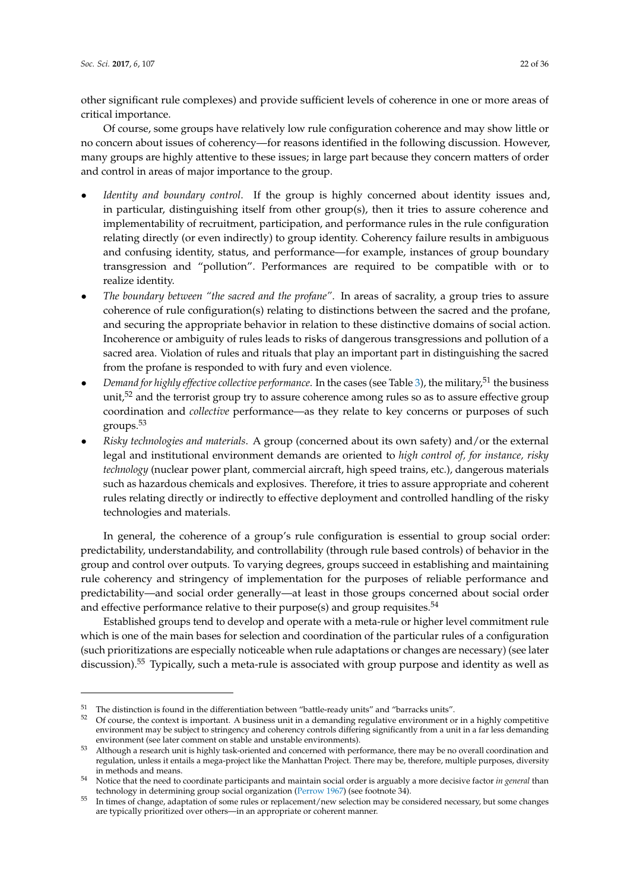other significant rule complexes) and provide sufficient levels of coherence in one or more areas of critical importance.

Of course, some groups have relatively low rule configuration coherence and may show little or no concern about issues of coherency—for reasons identified in the following discussion. However, many groups are highly attentive to these issues; in large part because they concern matters of order and control in areas of major importance to the group.

- *Identity and boundary control*. If the group is highly concerned about identity issues and, in particular, distinguishing itself from other group(s), then it tries to assure coherence and implementability of recruitment, participation, and performance rules in the rule configuration relating directly (or even indirectly) to group identity. Coherency failure results in ambiguous and confusing identity, status, and performance—for example, instances of group boundary transgression and "pollution". Performances are required to be compatible with or to realize identity.
- *The boundary between "the sacred and the profane"*. In areas of sacrality, a group tries to assure coherence of rule configuration(s) relating to distinctions between the sacred and the profane, and securing the appropriate behavior in relation to these distinctive domains of social action. Incoherence or ambiguity of rules leads to risks of dangerous transgressions and pollution of a sacred area. Violation of rules and rituals that play an important part in distinguishing the sacred from the profane is responded to with fury and even violence.
- Demand for highly effective collective performance. In the cases (see Table [3\)](#page-16-0), the military,<sup>51</sup> the business unit, $5^2$  and the terrorist group try to assure coherence among rules so as to assure effective group coordination and *collective* performance—as they relate to key concerns or purposes of such groups.<sup>53</sup>
- *Risky technologies and materials*. A group (concerned about its own safety) and/or the external legal and institutional environment demands are oriented to *high control of, for instance, risky technology* (nuclear power plant, commercial aircraft, high speed trains, etc.), dangerous materials such as hazardous chemicals and explosives. Therefore, it tries to assure appropriate and coherent rules relating directly or indirectly to effective deployment and controlled handling of the risky technologies and materials.

In general, the coherence of a group's rule configuration is essential to group social order: predictability, understandability, and controllability (through rule based controls) of behavior in the group and control over outputs. To varying degrees, groups succeed in establishing and maintaining rule coherency and stringency of implementation for the purposes of reliable performance and predictability—and social order generally—at least in those groups concerned about social order and effective performance relative to their purpose(s) and group requisites.<sup>54</sup>

Established groups tend to develop and operate with a meta-rule or higher level commitment rule which is one of the main bases for selection and coordination of the particular rules of a configuration (such prioritizations are especially noticeable when rule adaptations or changes are necessary) (see later discussion).<sup>55</sup> Typically, such a meta-rule is associated with group purpose and identity as well as

<sup>&</sup>lt;sup>51</sup> The distinction is found in the differentiation between "battle-ready units" and "barracks units".<br> $\frac{52}{2}$  Of course, the context is important. A business unit in a demanding regulative environment of

<sup>52</sup> Of course, the context is important. A business unit in a demanding regulative environment or in a highly competitive environment may be subject to stringency and coherency controls differing significantly from a unit in a far less demanding environment (see later comment on stable and unstable environments).

<sup>53</sup> Although a research unit is highly task-oriented and concerned with performance, there may be no overall coordination and regulation, unless it entails a mega-project like the Manhattan Project. There may be, therefore, multiple purposes, diversity in methods and means.

<sup>54</sup> Notice that the need to coordinate participants and maintain social order is arguably a more decisive factor *in general* than technology in determining group social organization [\(Perrow](#page-35-13) [1967\)](#page-35-13) (see footnote 34).

<sup>55</sup> In times of change, adaptation of some rules or replacement/new selection may be considered necessary, but some changes are typically prioritized over others—in an appropriate or coherent manner.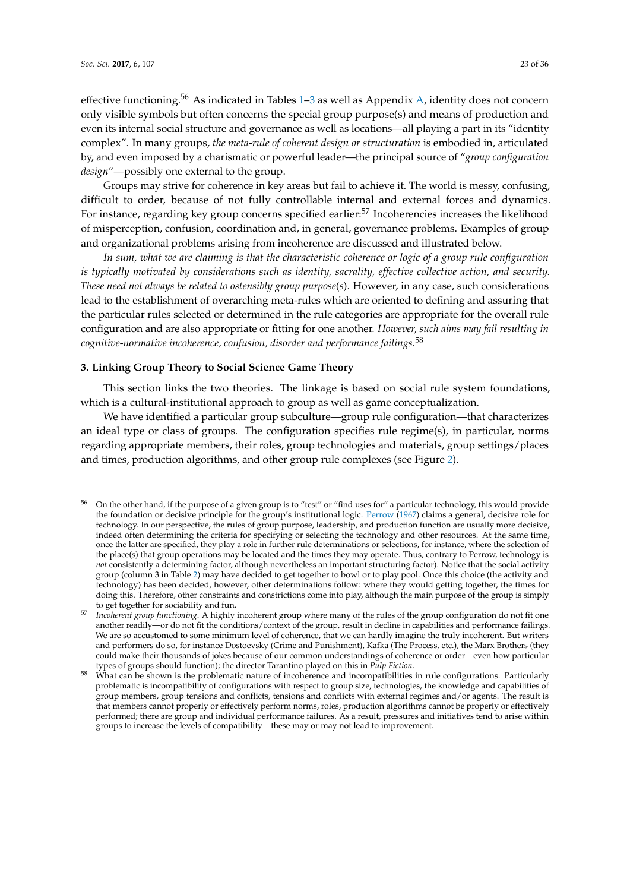effective functioning.<sup>56</sup> As indicated in Tables  $1-3$  $1-3$  as well as Appendix [A,](#page-26-0) identity does not concern only visible symbols but often concerns the special group purpose(s) and means of production and even its internal social structure and governance as well as locations—all playing a part in its "identity complex". In many groups, *the meta-rule of coherent design or structuration* is embodied in, articulated by, and even imposed by a charismatic or powerful leader—the principal source of "*group configuration design*"—possibly one external to the group.

Groups may strive for coherence in key areas but fail to achieve it. The world is messy, confusing, difficult to order, because of not fully controllable internal and external forces and dynamics. For instance, regarding key group concerns specified earlier:<sup>57</sup> Incoherencies increases the likelihood of misperception, confusion, coordination and, in general, governance problems. Examples of group and organizational problems arising from incoherence are discussed and illustrated below.

*In sum, what we are claiming is that the characteristic coherence or logic of a group rule configuration is typically motivated by considerations such as identity, sacrality, effective collective action, and security. These need not always be related to ostensibly group purpose*(*s*). However, in any case, such considerations lead to the establishment of overarching meta-rules which are oriented to defining and assuring that the particular rules selected or determined in the rule categories are appropriate for the overall rule configuration and are also appropriate or fitting for one another. *However, such aims may fail resulting in cognitive-normative incoherence, confusion, disorder and performance failings.*<sup>58</sup>

#### **3. Linking Group Theory to Social Science Game Theory**

This section links the two theories. The linkage is based on social rule system foundations, which is a cultural-institutional approach to group as well as game conceptualization.

We have identified a particular group subculture—group rule configuration—that characterizes an ideal type or class of groups. The configuration specifies rule regime(s), in particular, norms regarding appropriate members, their roles, group technologies and materials, group settings/places and times, production algorithms, and other group rule complexes (see Figure [2\)](#page-23-0).

<sup>56</sup> On the other hand, if the purpose of a given group is to "test" or "find uses for" a particular technology, this would provide the foundation or decisive principle for the group's institutional logic. [Perrow](#page-35-13) [\(1967\)](#page-35-13) claims a general, decisive role for technology. In our perspective, the rules of group purpose, leadership, and production function are usually more decisive, indeed often determining the criteria for specifying or selecting the technology and other resources. At the same time, once the latter are specified, they play a role in further rule determinations or selections, for instance, where the selection of the place(s) that group operations may be located and the times they may operate. Thus, contrary to Perrow, technology is *not* consistently a determining factor, although nevertheless an important structuring factor). Notice that the social activity group (column 3 in Table [2\)](#page-12-0) may have decided to get together to bowl or to play pool. Once this choice (the activity and technology) has been decided, however, other determinations follow: where they would getting together, the times for doing this. Therefore, other constraints and constrictions come into play, although the main purpose of the group is simply to get together for sociability and fun.

<sup>57</sup> *Incoherent group functioning*. A highly incoherent group where many of the rules of the group configuration do not fit one another readily—or do not fit the conditions/context of the group, result in decline in capabilities and performance failings. We are so accustomed to some minimum level of coherence, that we can hardly imagine the truly incoherent. But writers and performers do so, for instance Dostoevsky (Crime and Punishment), Kafka (The Process, etc.), the Marx Brothers (they could make their thousands of jokes because of our common understandings of coherence or order—even how particular types of groups should function); the director Tarantino played on this in *Pulp Fiction*.

<sup>&</sup>lt;sup>58</sup> What can be shown is the problematic nature of incoherence and incompatibilities in rule configurations. Particularly problematic is incompatibility of configurations with respect to group size, technologies, the knowledge and capabilities of group members, group tensions and conflicts, tensions and conflicts with external regimes and/or agents. The result is that members cannot properly or effectively perform norms, roles, production algorithms cannot be properly or effectively performed; there are group and individual performance failures. As a result, pressures and initiatives tend to arise within groups to increase the levels of compatibility—these may or may not lead to improvement.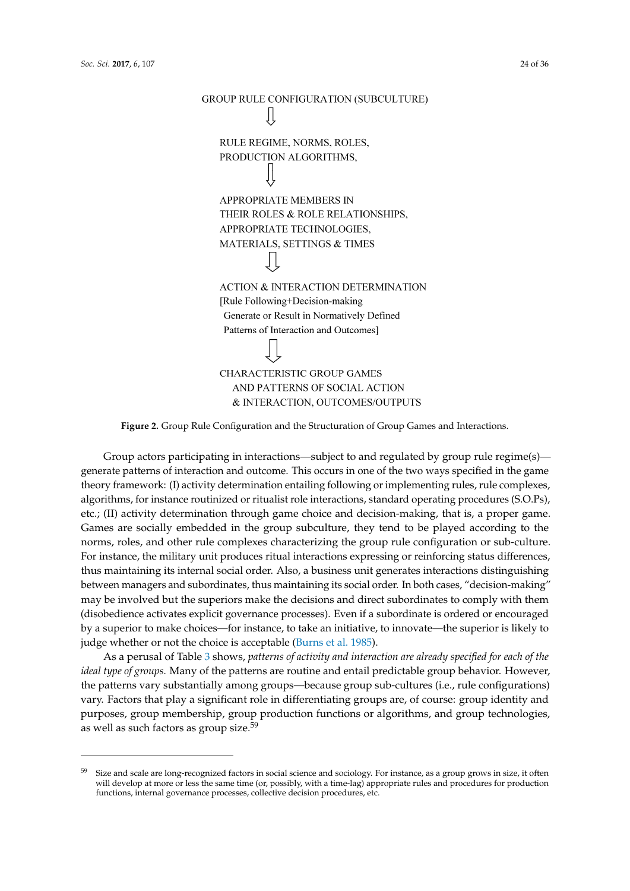<span id="page-23-0"></span>

**Figure 2.** Group Rule Configuration and the Structuration of Group Games and Interactions. **Figure 2.** Group Rule Configuration and the Structuration of Group Games and Interactions.

Group actors participating in interactions—subject to and regulated by group rule regime(s)— Group actors participating in interactions—subject to and regulated by group rule regime(s) generate patterns of interaction and outcome. This occurs in one of the two ways specified in the game generate patterns of interaction and outcome. This occurs in one of the two ways specified in the game theory framework: (I) activity determination entailing following or implementing rules, rule theory framework: (I) activity determination entailing following or implementing rules, rule complexes, algorithms, for instance routinized or ritualist role interactions, standard operating procedures (S.O.Ps), etc.; (II) activity determination through game choice and decision-making, that is, a proper game. Games are socially embedded in the group subculture, they tend to be played according to the norms, roles, and other rule complexes characterizing the group rule configuration or sub-culture. For instance, the military unit produces ritual interactions expressing or reinforcing status differences, thus maintaining its internal social order. Also, a business unit generates interactions distinguishing between managers and subordinates, thus maintaining its social order. In both cases, "decision-making" may be involved but the superiors make the decisions and direct subordinates to comply with them (disobedience activates explicit governance processes). Even if a subordinate is ordered or encouraged by a superior to make choices—for instance, to take an initiative, to innovate—the superior is likely to judge whether or not the choice is acceptable [\(Burns et al.](#page-34-6) [1985\)](#page-34-6).

As a perusal of Tabl[e 3](#page-16-0) shows, patterns of activity and interaction are already specified for each of the *ideal type of groups.* Many of the patterns are routine and entail predictable group behavior. However, *ideal type of groups.* Many of the patterns are routine and entail predictable group behavior. However, the patterns vary substantially among groups—because group sub-cultures (i.e., rule configurations) the patterns vary substantially among groups—because group sub-cultures (i.e., rule configurations) vary. Factors that play a significant role in differentiating groups are, of course: group identity and vary. Factors that play a significant role in differentiating groups are, of course: group identity and purposes, group membership, group production functions or algorithms, and group technologies, as well as such factors as group size.<sup>59</sup>

<sup>&</sup>lt;sup>59</sup> Size and scale are long-recognized factors in social science and sociology. For instance, as a group grows in size, it often will develop at more or less the same time (or, possibly, with a time-lag) appropriate rules and procedures for production functions, internal governance processes, collective decision procedures, etc.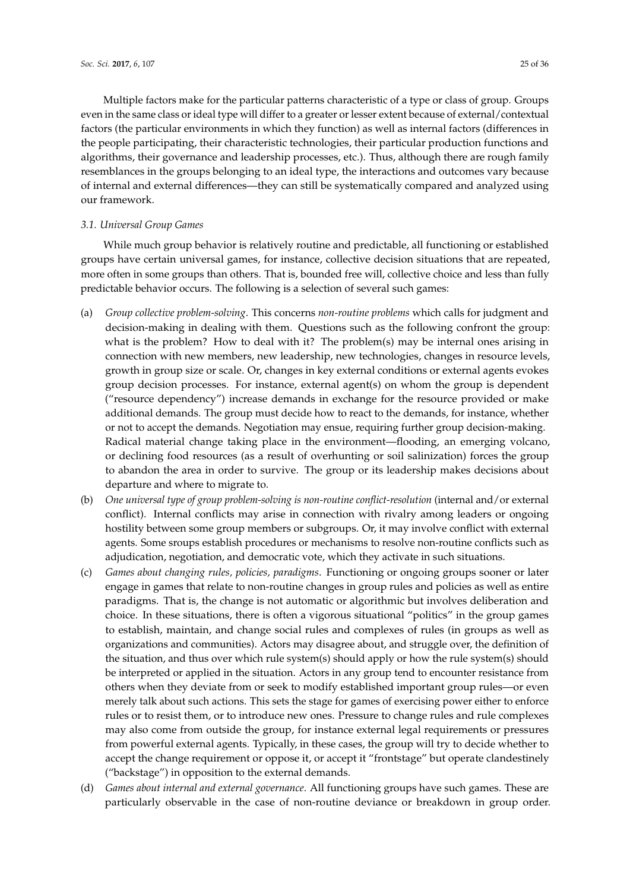Multiple factors make for the particular patterns characteristic of a type or class of group. Groups even in the same class or ideal type will differ to a greater or lesser extent because of external/contextual factors (the particular environments in which they function) as well as internal factors (differences in the people participating, their characteristic technologies, their particular production functions and algorithms, their governance and leadership processes, etc.). Thus, although there are rough family resemblances in the groups belonging to an ideal type, the interactions and outcomes vary because of internal and external differences—they can still be systematically compared and analyzed using our framework.

## *3.1. Universal Group Games*

While much group behavior is relatively routine and predictable, all functioning or established groups have certain universal games, for instance, collective decision situations that are repeated, more often in some groups than others. That is, bounded free will, collective choice and less than fully predictable behavior occurs. The following is a selection of several such games:

- (a) *Group collective problem-solving*. This concerns *non-routine problems* which calls for judgment and decision-making in dealing with them. Questions such as the following confront the group: what is the problem? How to deal with it? The problem(s) may be internal ones arising in connection with new members, new leadership, new technologies, changes in resource levels, growth in group size or scale. Or, changes in key external conditions or external agents evokes group decision processes. For instance, external agent(s) on whom the group is dependent ("resource dependency") increase demands in exchange for the resource provided or make additional demands. The group must decide how to react to the demands, for instance, whether or not to accept the demands. Negotiation may ensue, requiring further group decision-making. Radical material change taking place in the environment—flooding, an emerging volcano, or declining food resources (as a result of overhunting or soil salinization) forces the group to abandon the area in order to survive. The group or its leadership makes decisions about departure and where to migrate to.
- (b) *One universal type of group problem-solving is non-routine conflict-resolution* (internal and/or external conflict). Internal conflicts may arise in connection with rivalry among leaders or ongoing hostility between some group members or subgroups. Or, it may involve conflict with external agents. Some sroups establish procedures or mechanisms to resolve non-routine conflicts such as adjudication, negotiation, and democratic vote, which they activate in such situations.
- (c) *Games about changing rules, policies, paradigms*. Functioning or ongoing groups sooner or later engage in games that relate to non-routine changes in group rules and policies as well as entire paradigms. That is, the change is not automatic or algorithmic but involves deliberation and choice. In these situations, there is often a vigorous situational "politics" in the group games to establish, maintain, and change social rules and complexes of rules (in groups as well as organizations and communities). Actors may disagree about, and struggle over, the definition of the situation, and thus over which rule system(s) should apply or how the rule system(s) should be interpreted or applied in the situation. Actors in any group tend to encounter resistance from others when they deviate from or seek to modify established important group rules—or even merely talk about such actions. This sets the stage for games of exercising power either to enforce rules or to resist them, or to introduce new ones. Pressure to change rules and rule complexes may also come from outside the group, for instance external legal requirements or pressures from powerful external agents. Typically, in these cases, the group will try to decide whether to accept the change requirement or oppose it, or accept it "frontstage" but operate clandestinely ("backstage") in opposition to the external demands.
- (d) *Games about internal and external governance*. All functioning groups have such games. These are particularly observable in the case of non-routine deviance or breakdown in group order.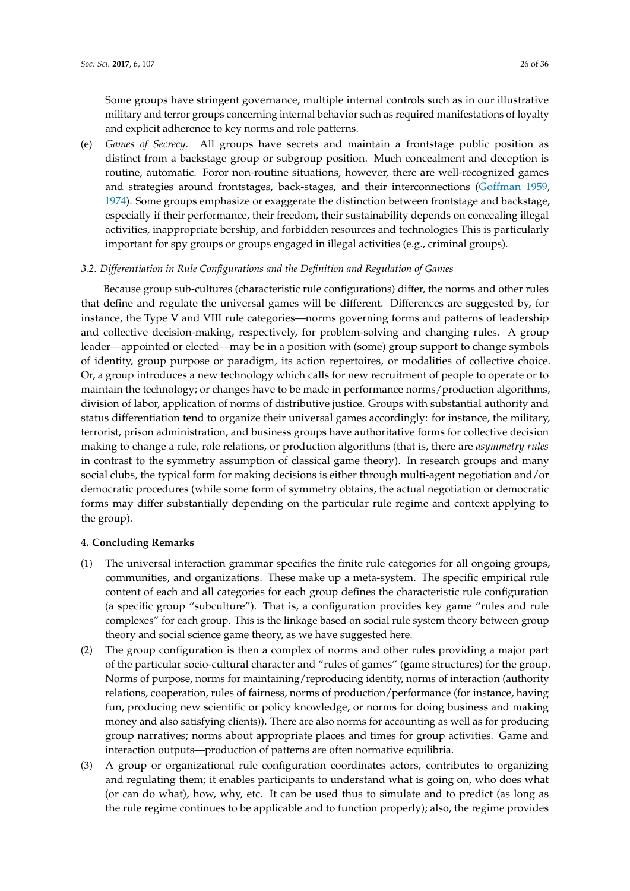Some groups have stringent governance, multiple internal controls such as in our illustrative military and terror groups concerning internal behavior such as required manifestations of loyalty and explicit adherence to key norms and role patterns.

(e) *Games of Secrecy*. All groups have secrets and maintain a frontstage public position as distinct from a backstage group or subgroup position. Much concealment and deception is routine, automatic. Foror non-routine situations, however, there are well-recognized games and strategies around frontstages, back-stages, and their interconnections [\(Goffman](#page-34-15) [1959,](#page-34-15) [1974\)](#page-34-8). Some groups emphasize or exaggerate the distinction between frontstage and backstage, especially if their performance, their freedom, their sustainability depends on concealing illegal activities, inappropriate bership, and forbidden resources and technologies This is particularly important for spy groups or groups engaged in illegal activities (e.g., criminal groups).

## *3.2. Differentiation in Rule Configurations and the Definition and Regulation of Games*

Because group sub-cultures (characteristic rule configurations) differ, the norms and other rules that define and regulate the universal games will be different. Differences are suggested by, for instance, the Type V and VIII rule categories—norms governing forms and patterns of leadership and collective decision-making, respectively, for problem-solving and changing rules. A group leader—appointed or elected—may be in a position with (some) group support to change symbols of identity, group purpose or paradigm, its action repertoires, or modalities of collective choice. Or, a group introduces a new technology which calls for new recruitment of people to operate or to maintain the technology; or changes have to be made in performance norms/production algorithms, division of labor, application of norms of distributive justice. Groups with substantial authority and status differentiation tend to organize their universal games accordingly: for instance, the military, terrorist, prison administration, and business groups have authoritative forms for collective decision making to change a rule, role relations, or production algorithms (that is, there are *asymmetry rules* in contrast to the symmetry assumption of classical game theory). In research groups and many social clubs, the typical form for making decisions is either through multi-agent negotiation and/or democratic procedures (while some form of symmetry obtains, the actual negotiation or democratic forms may differ substantially depending on the particular rule regime and context applying to the group).

## **4. Concluding Remarks**

- (1) The universal interaction grammar specifies the finite rule categories for all ongoing groups, communities, and organizations. These make up a meta-system. The specific empirical rule content of each and all categories for each group defines the characteristic rule configuration (a specific group "subculture"). That is, a configuration provides key game "rules and rule complexes" for each group. This is the linkage based on social rule system theory between group theory and social science game theory, as we have suggested here.
- (2) The group configuration is then a complex of norms and other rules providing a major part of the particular socio-cultural character and "rules of games" (game structures) for the group. Norms of purpose, norms for maintaining/reproducing identity, norms of interaction (authority relations, cooperation, rules of fairness, norms of production/performance (for instance, having fun, producing new scientific or policy knowledge, or norms for doing business and making money and also satisfying clients)). There are also norms for accounting as well as for producing group narratives; norms about appropriate places and times for group activities. Game and interaction outputs—production of patterns are often normative equilibria.
- (3) A group or organizational rule configuration coordinates actors, contributes to organizing and regulating them; it enables participants to understand what is going on, who does what (or can do what), how, why, etc. It can be used thus to simulate and to predict (as long as the rule regime continues to be applicable and to function properly); also, the regime provides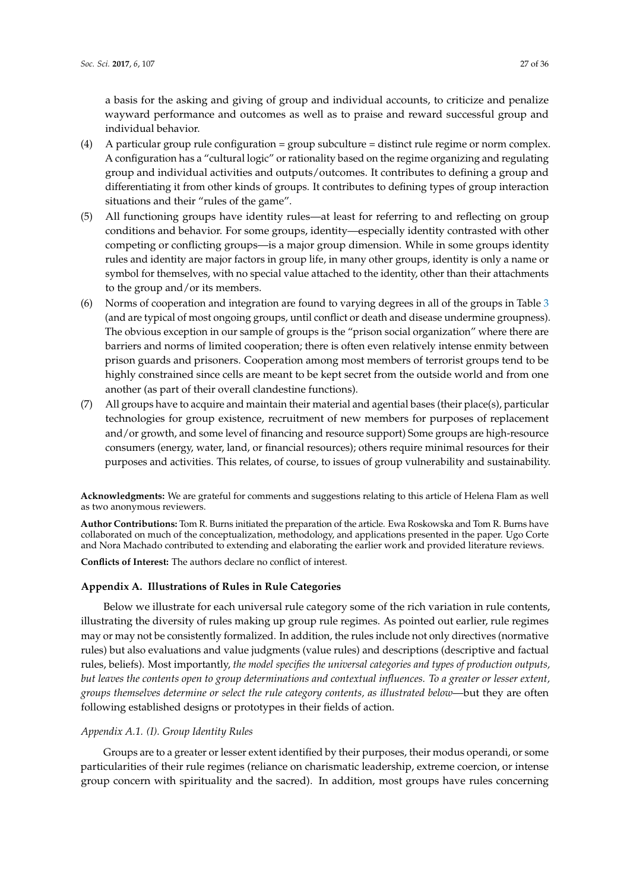a basis for the asking and giving of group and individual accounts, to criticize and penalize wayward performance and outcomes as well as to praise and reward successful group and individual behavior.

- (4) A particular group rule configuration = group subculture = distinct rule regime or norm complex. A configuration has a "cultural logic" or rationality based on the regime organizing and regulating group and individual activities and outputs/outcomes. It contributes to defining a group and differentiating it from other kinds of groups. It contributes to defining types of group interaction situations and their "rules of the game".
- (5) All functioning groups have identity rules—at least for referring to and reflecting on group conditions and behavior. For some groups, identity—especially identity contrasted with other competing or conflicting groups—is a major group dimension. While in some groups identity rules and identity are major factors in group life, in many other groups, identity is only a name or symbol for themselves, with no special value attached to the identity, other than their attachments to the group and/or its members.
- (6) Norms of cooperation and integration are found to varying degrees in all of the groups in Table [3](#page-16-0) (and are typical of most ongoing groups, until conflict or death and disease undermine groupness). The obvious exception in our sample of groups is the "prison social organization" where there are barriers and norms of limited cooperation; there is often even relatively intense enmity between prison guards and prisoners. Cooperation among most members of terrorist groups tend to be highly constrained since cells are meant to be kept secret from the outside world and from one another (as part of their overall clandestine functions).
- (7) All groups have to acquire and maintain their material and agential bases (their place(s), particular technologies for group existence, recruitment of new members for purposes of replacement and/or growth, and some level of financing and resource support) Some groups are high-resource consumers (energy, water, land, or financial resources); others require minimal resources for their purposes and activities. This relates, of course, to issues of group vulnerability and sustainability.

**Acknowledgments:** We are grateful for comments and suggestions relating to this article of Helena Flam as well as two anonymous reviewers.

**Author Contributions:** Tom R. Burns initiated the preparation of the article. Ewa Roskowska and Tom R. Burns have collaborated on much of the conceptualization, methodology, and applications presented in the paper. Ugo Corte and Nora Machado contributed to extending and elaborating the earlier work and provided literature reviews.

**Conflicts of Interest:** The authors declare no conflict of interest.

## <span id="page-26-0"></span>**Appendix A. Illustrations of Rules in Rule Categories**

Below we illustrate for each universal rule category some of the rich variation in rule contents, illustrating the diversity of rules making up group rule regimes. As pointed out earlier, rule regimes may or may not be consistently formalized. In addition, the rules include not only directives (normative rules) but also evaluations and value judgments (value rules) and descriptions (descriptive and factual rules, beliefs). Most importantly, *the model specifies the universal categories and types of production outputs, but leaves the contents open to group determinations and contextual influences. To a greater or lesser extent, groups themselves determine or select the rule category contents, as illustrated below*—but they are often following established designs or prototypes in their fields of action.

## *Appendix A.1. (I). Group Identity Rules*

Groups are to a greater or lesser extent identified by their purposes, their modus operandi, or some particularities of their rule regimes (reliance on charismatic leadership, extreme coercion, or intense group concern with spirituality and the sacred). In addition, most groups have rules concerning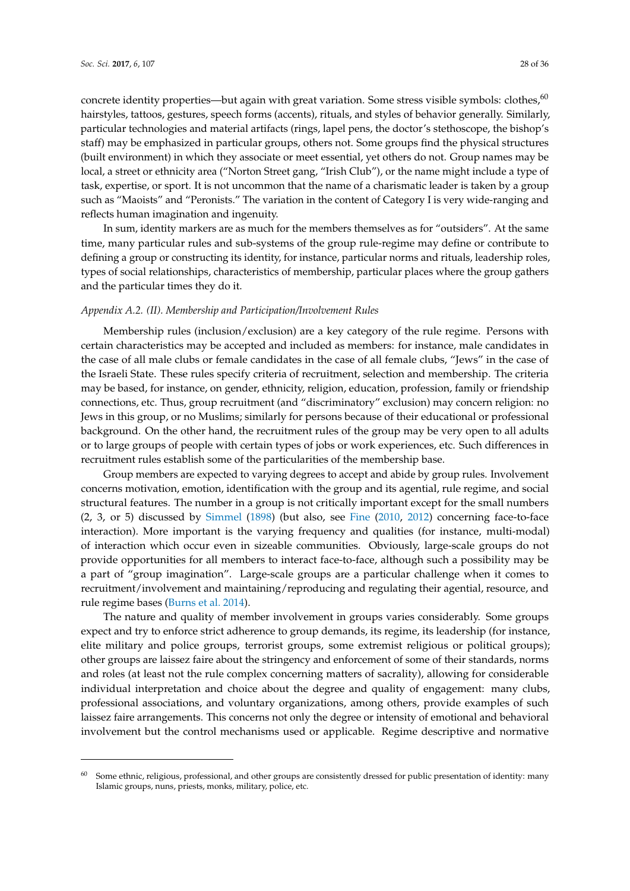concrete identity properties—but again with great variation. Some stress visible symbols: clothes,<sup>60</sup> hairstyles, tattoos, gestures, speech forms (accents), rituals, and styles of behavior generally. Similarly, particular technologies and material artifacts (rings, lapel pens, the doctor's stethoscope, the bishop's staff) may be emphasized in particular groups, others not. Some groups find the physical structures (built environment) in which they associate or meet essential, yet others do not. Group names may be local, a street or ethnicity area ("Norton Street gang, "Irish Club"), or the name might include a type of task, expertise, or sport. It is not uncommon that the name of a charismatic leader is taken by a group such as "Maoists" and "Peronists." The variation in the content of Category I is very wide-ranging and reflects human imagination and ingenuity.

In sum, identity markers are as much for the members themselves as for "outsiders". At the same time, many particular rules and sub-systems of the group rule-regime may define or contribute to defining a group or constructing its identity, for instance, particular norms and rituals, leadership roles, types of social relationships, characteristics of membership, particular places where the group gathers and the particular times they do it.

#### *Appendix A.2. (II). Membership and Participation/Involvement Rules*

Membership rules (inclusion/exclusion) are a key category of the rule regime. Persons with certain characteristics may be accepted and included as members: for instance, male candidates in the case of all male clubs or female candidates in the case of all female clubs, "Jews" in the case of the Israeli State. These rules specify criteria of recruitment, selection and membership. The criteria may be based, for instance, on gender, ethnicity, religion, education, profession, family or friendship connections, etc. Thus, group recruitment (and "discriminatory" exclusion) may concern religion: no Jews in this group, or no Muslims; similarly for persons because of their educational or professional background. On the other hand, the recruitment rules of the group may be very open to all adults or to large groups of people with certain types of jobs or work experiences, etc. Such differences in recruitment rules establish some of the particularities of the membership base.

Group members are expected to varying degrees to accept and abide by group rules. Involvement concerns motivation, emotion, identification with the group and its agential, rule regime, and social structural features. The number in a group is not critically important except for the small numbers (2, 3, or 5) discussed by [Simmel](#page-35-17) [\(1898\)](#page-35-17) (but also, see [Fine](#page-34-26) [\(2010,](#page-34-26) [2012\)](#page-34-27) concerning face-to-face interaction). More important is the varying frequency and qualities (for instance, multi-modal) of interaction which occur even in sizeable communities. Obviously, large-scale groups do not provide opportunities for all members to interact face-to-face, although such a possibility may be a part of "group imagination". Large-scale groups are a particular challenge when it comes to recruitment/involvement and maintaining/reproducing and regulating their agential, resource, and rule regime bases [\(Burns et al.](#page-34-25) [2014\)](#page-34-25).

The nature and quality of member involvement in groups varies considerably. Some groups expect and try to enforce strict adherence to group demands, its regime, its leadership (for instance, elite military and police groups, terrorist groups, some extremist religious or political groups); other groups are laissez faire about the stringency and enforcement of some of their standards, norms and roles (at least not the rule complex concerning matters of sacrality), allowing for considerable individual interpretation and choice about the degree and quality of engagement: many clubs, professional associations, and voluntary organizations, among others, provide examples of such laissez faire arrangements. This concerns not only the degree or intensity of emotional and behavioral involvement but the control mechanisms used or applicable. Regime descriptive and normative

<sup>60</sup> Some ethnic, religious, professional, and other groups are consistently dressed for public presentation of identity: many Islamic groups, nuns, priests, monks, military, police, etc.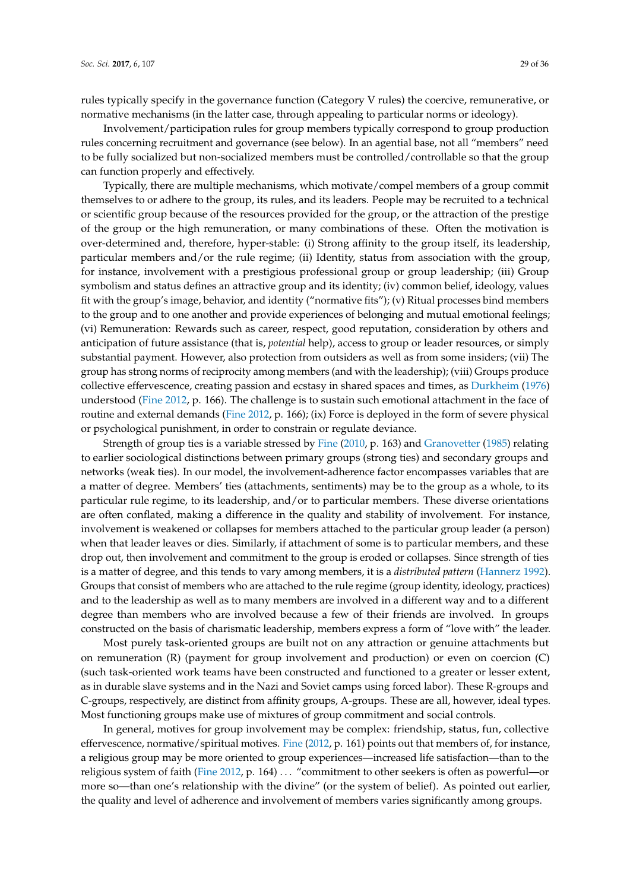rules typically specify in the governance function (Category V rules) the coercive, remunerative, or normative mechanisms (in the latter case, through appealing to particular norms or ideology).

Involvement/participation rules for group members typically correspond to group production rules concerning recruitment and governance (see below). In an agential base, not all "members" need to be fully socialized but non-socialized members must be controlled/controllable so that the group can function properly and effectively.

Typically, there are multiple mechanisms, which motivate/compel members of a group commit themselves to or adhere to the group, its rules, and its leaders. People may be recruited to a technical or scientific group because of the resources provided for the group, or the attraction of the prestige of the group or the high remuneration, or many combinations of these. Often the motivation is over-determined and, therefore, hyper-stable: (i) Strong affinity to the group itself, its leadership, particular members and/or the rule regime; (ii) Identity, status from association with the group, for instance, involvement with a prestigious professional group or group leadership; (iii) Group symbolism and status defines an attractive group and its identity; (iv) common belief, ideology, values fit with the group's image, behavior, and identity ("normative fits"); (v) Ritual processes bind members to the group and to one another and provide experiences of belonging and mutual emotional feelings; (vi) Remuneration: Rewards such as career, respect, good reputation, consideration by others and anticipation of future assistance (that is, *potential* help), access to group or leader resources, or simply substantial payment. However, also protection from outsiders as well as from some insiders; (vii) The group has strong norms of reciprocity among members (and with the leadership); (viii) Groups produce collective effervescence, creating passion and ecstasy in shared spaces and times, as [Durkheim](#page-34-28) [\(1976\)](#page-34-28) understood [\(Fine](#page-34-27) [2012,](#page-34-27) p. 166). The challenge is to sustain such emotional attachment in the face of routine and external demands [\(Fine](#page-34-27) [2012,](#page-34-27) p. 166); (ix) Force is deployed in the form of severe physical or psychological punishment, in order to constrain or regulate deviance.

Strength of group ties is a variable stressed by [Fine](#page-34-26) [\(2010,](#page-34-26) p. 163) and [Granovetter](#page-34-17) [\(1985\)](#page-34-17) relating to earlier sociological distinctions between primary groups (strong ties) and secondary groups and networks (weak ties). In our model, the involvement-adherence factor encompasses variables that are a matter of degree. Members' ties (attachments, sentiments) may be to the group as a whole, to its particular rule regime, to its leadership, and/or to particular members. These diverse orientations are often conflated, making a difference in the quality and stability of involvement. For instance, involvement is weakened or collapses for members attached to the particular group leader (a person) when that leader leaves or dies. Similarly, if attachment of some is to particular members, and these drop out, then involvement and commitment to the group is eroded or collapses. Since strength of ties is a matter of degree, and this tends to vary among members, it is a *distributed pattern* [\(Hannerz](#page-34-29) [1992\)](#page-34-29). Groups that consist of members who are attached to the rule regime (group identity, ideology, practices) and to the leadership as well as to many members are involved in a different way and to a different degree than members who are involved because a few of their friends are involved. In groups constructed on the basis of charismatic leadership, members express a form of "love with" the leader.

Most purely task-oriented groups are built not on any attraction or genuine attachments but on remuneration (R) (payment for group involvement and production) or even on coercion (C) (such task-oriented work teams have been constructed and functioned to a greater or lesser extent, as in durable slave systems and in the Nazi and Soviet camps using forced labor). These R-groups and C-groups, respectively, are distinct from affinity groups, A-groups. These are all, however, ideal types. Most functioning groups make use of mixtures of group commitment and social controls.

In general, motives for group involvement may be complex: friendship, status, fun, collective effervescence, normative/spiritual motives. [Fine](#page-34-27) [\(2012,](#page-34-27) p. 161) points out that members of, for instance, a religious group may be more oriented to group experiences—increased life satisfaction—than to the religious system of faith [\(Fine](#page-34-27) [2012,](#page-34-27) p. 164) . . . "commitment to other seekers is often as powerful—or more so—than one's relationship with the divine" (or the system of belief). As pointed out earlier, the quality and level of adherence and involvement of members varies significantly among groups.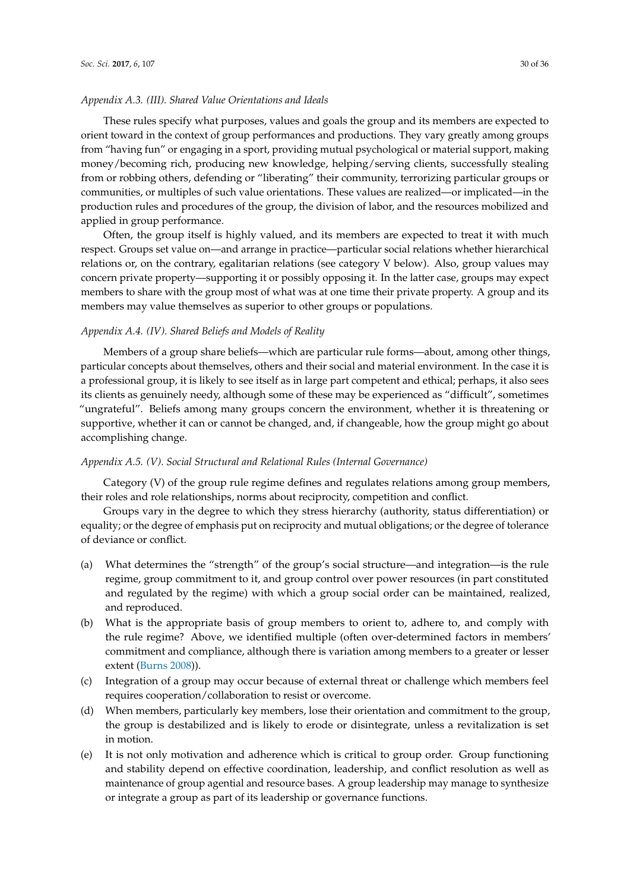## *Appendix A.3. (III). Shared Value Orientations and Ideals*

These rules specify what purposes, values and goals the group and its members are expected to orient toward in the context of group performances and productions. They vary greatly among groups from "having fun" or engaging in a sport, providing mutual psychological or material support, making money/becoming rich, producing new knowledge, helping/serving clients, successfully stealing from or robbing others, defending or "liberating" their community, terrorizing particular groups or communities, or multiples of such value orientations. These values are realized—or implicated—in the production rules and procedures of the group, the division of labor, and the resources mobilized and applied in group performance.

Often, the group itself is highly valued, and its members are expected to treat it with much respect. Groups set value on—and arrange in practice—particular social relations whether hierarchical relations or, on the contrary, egalitarian relations (see category V below). Also, group values may concern private property—supporting it or possibly opposing it. In the latter case, groups may expect members to share with the group most of what was at one time their private property. A group and its members may value themselves as superior to other groups or populations.

## *Appendix A.4. (IV). Shared Beliefs and Models of Reality*

Members of a group share beliefs—which are particular rule forms—about, among other things, particular concepts about themselves, others and their social and material environment. In the case it is a professional group, it is likely to see itself as in large part competent and ethical; perhaps, it also sees its clients as genuinely needy, although some of these may be experienced as "difficult", sometimes "ungrateful". Beliefs among many groups concern the environment, whether it is threatening or supportive, whether it can or cannot be changed, and, if changeable, how the group might go about accomplishing change.

#### *Appendix A.5. (V). Social Structural and Relational Rules (Internal Governance)*

Category (V) of the group rule regime defines and regulates relations among group members, their roles and role relationships, norms about reciprocity, competition and conflict.

Groups vary in the degree to which they stress hierarchy (authority, status differentiation) or equality; or the degree of emphasis put on reciprocity and mutual obligations; or the degree of tolerance of deviance or conflict.

- (a) What determines the "strength" of the group's social structure—and integration—is the rule regime, group commitment to it, and group control over power resources (in part constituted and regulated by the regime) with which a group social order can be maintained, realized, and reproduced.
- (b) What is the appropriate basis of group members to orient to, adhere to, and comply with the rule regime? Above, we identified multiple (often over-determined factors in members' commitment and compliance, although there is variation among members to a greater or lesser extent [\(Burns](#page-33-11) [2008\)](#page-33-11)).
- (c) Integration of a group may occur because of external threat or challenge which members feel requires cooperation/collaboration to resist or overcome.
- (d) When members, particularly key members, lose their orientation and commitment to the group, the group is destabilized and is likely to erode or disintegrate, unless a revitalization is set in motion.
- (e) It is not only motivation and adherence which is critical to group order. Group functioning and stability depend on effective coordination, leadership, and conflict resolution as well as maintenance of group agential and resource bases. A group leadership may manage to synthesize or integrate a group as part of its leadership or governance functions.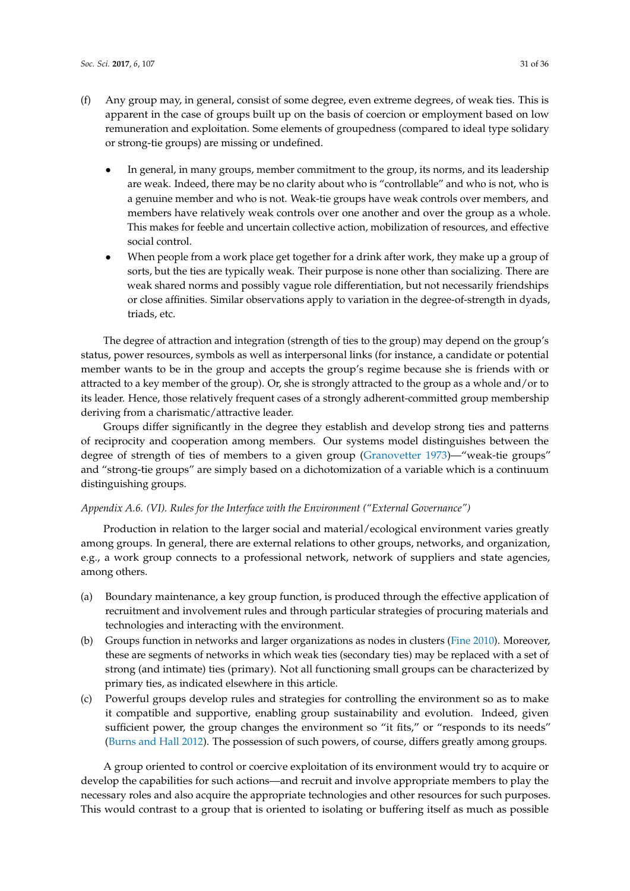- (f) Any group may, in general, consist of some degree, even extreme degrees, of weak ties. This is apparent in the case of groups built up on the basis of coercion or employment based on low remuneration and exploitation. Some elements of groupedness (compared to ideal type solidary or strong-tie groups) are missing or undefined.
	- In general, in many groups, member commitment to the group, its norms, and its leadership are weak. Indeed, there may be no clarity about who is "controllable" and who is not, who is a genuine member and who is not. Weak-tie groups have weak controls over members, and members have relatively weak controls over one another and over the group as a whole. This makes for feeble and uncertain collective action, mobilization of resources, and effective social control.
	- When people from a work place get together for a drink after work, they make up a group of sorts, but the ties are typically weak. Their purpose is none other than socializing. There are weak shared norms and possibly vague role differentiation, but not necessarily friendships or close affinities. Similar observations apply to variation in the degree-of-strength in dyads, triads, etc.

The degree of attraction and integration (strength of ties to the group) may depend on the group's status, power resources, symbols as well as interpersonal links (for instance, a candidate or potential member wants to be in the group and accepts the group's regime because she is friends with or attracted to a key member of the group). Or, she is strongly attracted to the group as a whole and/or to its leader. Hence, those relatively frequent cases of a strongly adherent-committed group membership deriving from a charismatic/attractive leader.

Groups differ significantly in the degree they establish and develop strong ties and patterns of reciprocity and cooperation among members. Our systems model distinguishes between the degree of strength of ties of members to a given group [\(Granovetter](#page-34-30) [1973\)](#page-34-30)—"weak-tie groups" and "strong-tie groups" are simply based on a dichotomization of a variable which is a continuum distinguishing groups.

## *Appendix A.6. (VI). Rules for the Interface with the Environment ("External Governance")*

Production in relation to the larger social and material/ecological environment varies greatly among groups. In general, there are external relations to other groups, networks, and organization, e.g., a work group connects to a professional network, network of suppliers and state agencies, among others.

- (a) Boundary maintenance, a key group function, is produced through the effective application of recruitment and involvement rules and through particular strategies of procuring materials and technologies and interacting with the environment.
- (b) Groups function in networks and larger organizations as nodes in clusters [\(Fine](#page-34-26) [2010\)](#page-34-26). Moreover, these are segments of networks in which weak ties (secondary ties) may be replaced with a set of strong (and intimate) ties (primary). Not all functioning small groups can be characterized by primary ties, as indicated elsewhere in this article.
- (c) Powerful groups develop rules and strategies for controlling the environment so as to make it compatible and supportive, enabling group sustainability and evolution. Indeed, given sufficient power, the group changes the environment so "it fits," or "responds to its needs" [\(Burns and Hall](#page-33-1) [2012\)](#page-33-1). The possession of such powers, of course, differs greatly among groups.

A group oriented to control or coercive exploitation of its environment would try to acquire or develop the capabilities for such actions—and recruit and involve appropriate members to play the necessary roles and also acquire the appropriate technologies and other resources for such purposes. This would contrast to a group that is oriented to isolating or buffering itself as much as possible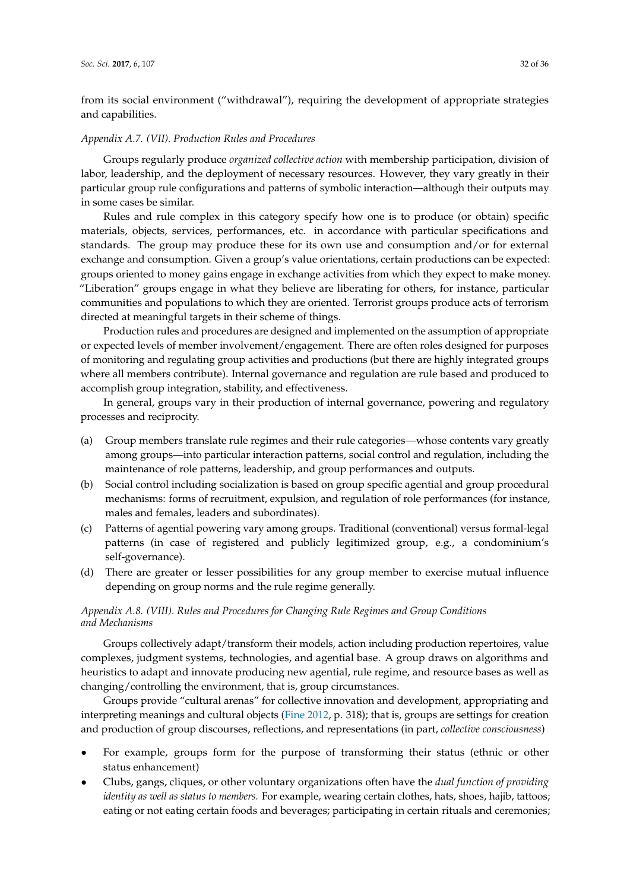from its social environment ("withdrawal"), requiring the development of appropriate strategies and capabilities.

#### *Appendix A.7. (VII). Production Rules and Procedures*

Groups regularly produce *organized collective action* with membership participation, division of labor, leadership, and the deployment of necessary resources. However, they vary greatly in their particular group rule configurations and patterns of symbolic interaction—although their outputs may in some cases be similar.

Rules and rule complex in this category specify how one is to produce (or obtain) specific materials, objects, services, performances, etc. in accordance with particular specifications and standards. The group may produce these for its own use and consumption and/or for external exchange and consumption. Given a group's value orientations, certain productions can be expected: groups oriented to money gains engage in exchange activities from which they expect to make money. "Liberation" groups engage in what they believe are liberating for others, for instance, particular communities and populations to which they are oriented. Terrorist groups produce acts of terrorism directed at meaningful targets in their scheme of things.

Production rules and procedures are designed and implemented on the assumption of appropriate or expected levels of member involvement/engagement. There are often roles designed for purposes of monitoring and regulating group activities and productions (but there are highly integrated groups where all members contribute). Internal governance and regulation are rule based and produced to accomplish group integration, stability, and effectiveness.

In general, groups vary in their production of internal governance, powering and regulatory processes and reciprocity.

- (a) Group members translate rule regimes and their rule categories—whose contents vary greatly among groups—into particular interaction patterns, social control and regulation, including the maintenance of role patterns, leadership, and group performances and outputs.
- (b) Social control including socialization is based on group specific agential and group procedural mechanisms: forms of recruitment, expulsion, and regulation of role performances (for instance, males and females, leaders and subordinates).
- (c) Patterns of agential powering vary among groups. Traditional (conventional) versus formal-legal patterns (in case of registered and publicly legitimized group, e.g., a condominium's self-governance).
- (d) There are greater or lesser possibilities for any group member to exercise mutual influence depending on group norms and the rule regime generally.

## *Appendix A.8. (VIII). Rules and Procedures for Changing Rule Regimes and Group Conditions and Mechanisms*

Groups collectively adapt/transform their models, action including production repertoires, value complexes, judgment systems, technologies, and agential base. A group draws on algorithms and heuristics to adapt and innovate producing new agential, rule regime, and resource bases as well as changing/controlling the environment, that is, group circumstances.

Groups provide "cultural arenas" for collective innovation and development, appropriating and interpreting meanings and cultural objects [\(Fine](#page-34-27) [2012,](#page-34-27) p. 318); that is, groups are settings for creation and production of group discourses, reflections, and representations (in part, *collective consciousness*)

- For example, groups form for the purpose of transforming their status (ethnic or other status enhancement)
- Clubs, gangs, cliques, or other voluntary organizations often have the *dual function of providing identity as well as status to members.* For example, wearing certain clothes, hats, shoes, hajib, tattoos; eating or not eating certain foods and beverages; participating in certain rituals and ceremonies;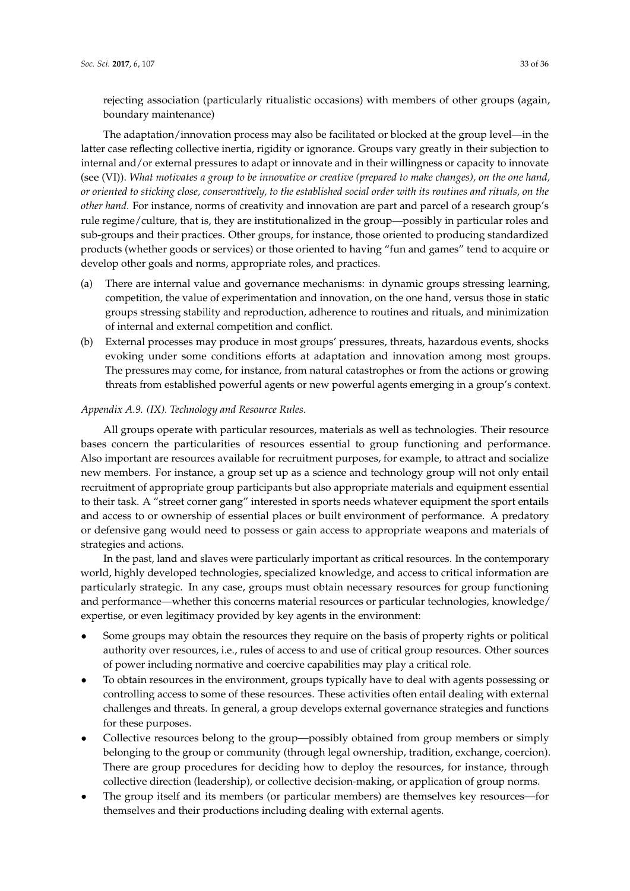rejecting association (particularly ritualistic occasions) with members of other groups (again, boundary maintenance)

The adaptation/innovation process may also be facilitated or blocked at the group level—in the latter case reflecting collective inertia, rigidity or ignorance. Groups vary greatly in their subjection to internal and/or external pressures to adapt or innovate and in their willingness or capacity to innovate (see (VI)). *What motivates a group to be innovative or creative (prepared to make changes), on the one hand, or oriented to sticking close, conservatively, to the established social order with its routines and rituals, on the other hand.* For instance, norms of creativity and innovation are part and parcel of a research group's rule regime/culture, that is, they are institutionalized in the group—possibly in particular roles and sub-groups and their practices. Other groups, for instance, those oriented to producing standardized products (whether goods or services) or those oriented to having "fun and games" tend to acquire or develop other goals and norms, appropriate roles, and practices.

- (a) There are internal value and governance mechanisms: in dynamic groups stressing learning, competition, the value of experimentation and innovation, on the one hand, versus those in static groups stressing stability and reproduction, adherence to routines and rituals, and minimization of internal and external competition and conflict.
- (b) External processes may produce in most groups' pressures, threats, hazardous events, shocks evoking under some conditions efforts at adaptation and innovation among most groups. The pressures may come, for instance, from natural catastrophes or from the actions or growing threats from established powerful agents or new powerful agents emerging in a group's context.

## *Appendix A.9. (IX). Technology and Resource Rules.*

All groups operate with particular resources, materials as well as technologies. Their resource bases concern the particularities of resources essential to group functioning and performance. Also important are resources available for recruitment purposes, for example, to attract and socialize new members. For instance, a group set up as a science and technology group will not only entail recruitment of appropriate group participants but also appropriate materials and equipment essential to their task. A "street corner gang" interested in sports needs whatever equipment the sport entails and access to or ownership of essential places or built environment of performance. A predatory or defensive gang would need to possess or gain access to appropriate weapons and materials of strategies and actions.

In the past, land and slaves were particularly important as critical resources. In the contemporary world, highly developed technologies, specialized knowledge, and access to critical information are particularly strategic. In any case, groups must obtain necessary resources for group functioning and performance—whether this concerns material resources or particular technologies, knowledge/ expertise, or even legitimacy provided by key agents in the environment:

- Some groups may obtain the resources they require on the basis of property rights or political authority over resources, i.e., rules of access to and use of critical group resources. Other sources of power including normative and coercive capabilities may play a critical role.
- To obtain resources in the environment, groups typically have to deal with agents possessing or controlling access to some of these resources. These activities often entail dealing with external challenges and threats. In general, a group develops external governance strategies and functions for these purposes.
- Collective resources belong to the group—possibly obtained from group members or simply belonging to the group or community (through legal ownership, tradition, exchange, coercion). There are group procedures for deciding how to deploy the resources, for instance, through collective direction (leadership), or collective decision-making, or application of group norms.
- The group itself and its members (or particular members) are themselves key resources—for themselves and their productions including dealing with external agents.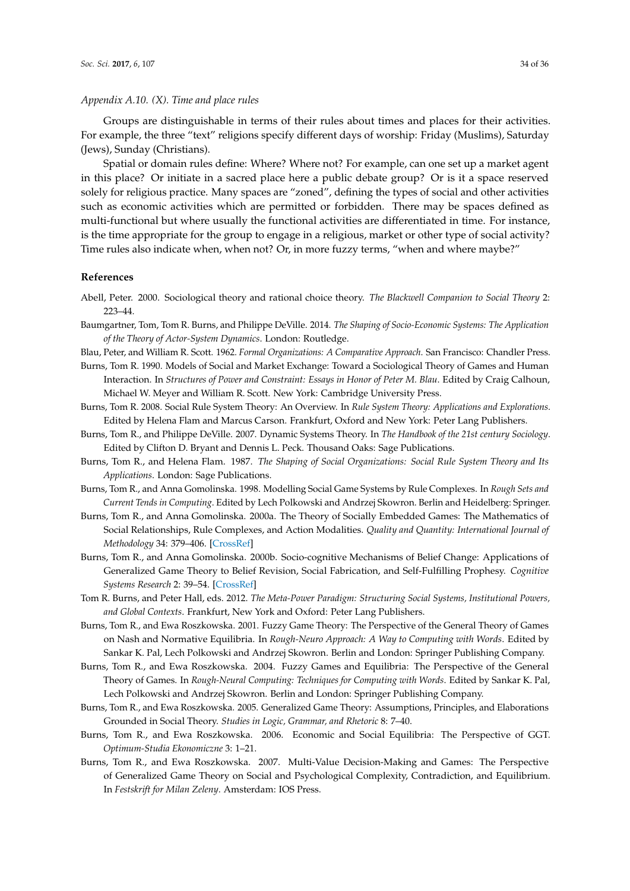#### *Appendix A.10. (X). Time and place rules*

Groups are distinguishable in terms of their rules about times and places for their activities. For example, the three "text" religions specify different days of worship: Friday (Muslims), Saturday (Jews), Sunday (Christians).

Spatial or domain rules define: Where? Where not? For example, can one set up a market agent in this place? Or initiate in a sacred place here a public debate group? Or is it a space reserved solely for religious practice. Many spaces are "zoned", defining the types of social and other activities such as economic activities which are permitted or forbidden. There may be spaces defined as multi-functional but where usually the functional activities are differentiated in time. For instance, is the time appropriate for the group to engage in a religious, market or other type of social activity? Time rules also indicate when, when not? Or, in more fuzzy terms, "when and where maybe?"

#### **References**

- <span id="page-33-12"></span>Abell, Peter. 2000. Sociological theory and rational choice theory. *The Blackwell Companion to Social Theory* 2: 223–44.
- <span id="page-33-8"></span>Baumgartner, Tom, Tom R. Burns, and Philippe DeVille. 2014. *The Shaping of Socio-Economic Systems: The Application of the Theory of Actor-System Dynamics*. London: Routledge.

<span id="page-33-15"></span><span id="page-33-7"></span>Blau, Peter, and William R. Scott. 1962. *Formal Organizations: A Comparative Approach*. San Francisco: Chandler Press.

- Burns, Tom R. 1990. Models of Social and Market Exchange: Toward a Sociological Theory of Games and Human Interaction. In *Structures of Power and Constraint: Essays in Honor of Peter M. Blau*. Edited by Craig Calhoun, Michael W. Meyer and William R. Scott. New York: Cambridge University Press.
- <span id="page-33-11"></span>Burns, Tom R. 2008. Social Rule System Theory: An Overview. In *Rule System Theory: Applications and Explorations*. Edited by Helena Flam and Marcus Carson. Frankfurt, Oxford and New York: Peter Lang Publishers.
- <span id="page-33-5"></span>Burns, Tom R., and Philippe DeVille. 2007. Dynamic Systems Theory. In *The Handbook of the 21st century Sociology*. Edited by Clifton D. Bryant and Dennis L. Peck. Thousand Oaks: Sage Publications.
- <span id="page-33-0"></span>Burns, Tom R., and Helena Flam. 1987. *The Shaping of Social Organizations: Social Rule System Theory and Its Applications*. London: Sage Publications.
- <span id="page-33-9"></span>Burns, Tom R., and Anna Gomolinska. 1998. Modelling Social Game Systems by Rule Complexes. In *Rough Sets and Current Tends in Computing*. Edited by Lech Polkowski and Andrzej Skowron. Berlin and Heidelberg: Springer.
- <span id="page-33-2"></span>Burns, Tom R., and Anna Gomolinska. 2000a. The Theory of Socially Embedded Games: The Mathematics of Social Relationships, Rule Complexes, and Action Modalities. *Quality and Quantity: International Journal of Methodology* 34: 379–406. [\[CrossRef\]](http://dx.doi.org/10.1023/A:1004884423573)
- <span id="page-33-6"></span>Burns, Tom R., and Anna Gomolinska. 2000b. Socio-cognitive Mechanisms of Belief Change: Applications of Generalized Game Theory to Belief Revision, Social Fabrication, and Self-Fulfilling Prophesy. *Cognitive Systems Research* 2: 39–54. [\[CrossRef\]](http://dx.doi.org/10.1016/S1389-0417(01)00014-6)
- <span id="page-33-1"></span>Tom R. Burns, and Peter Hall, eds. 2012. *The Meta-Power Paradigm: Structuring Social Systems, Institutional Powers, and Global Contexts*. Frankfurt, New York and Oxford: Peter Lang Publishers.
- <span id="page-33-13"></span>Burns, Tom R., and Ewa Roszkowska. 2001. Fuzzy Game Theory: The Perspective of the General Theory of Games on Nash and Normative Equilibria. In *Rough-Neuro Approach: A Way to Computing with Words*. Edited by Sankar K. Pal, Lech Polkowski and Andrzej Skowron. Berlin and London: Springer Publishing Company.
- <span id="page-33-14"></span>Burns, Tom R., and Ewa Roszkowska. 2004. Fuzzy Games and Equilibria: The Perspective of the General Theory of Games. In *Rough-Neural Computing: Techniques for Computing with Words*. Edited by Sankar K. Pal, Lech Polkowski and Andrzej Skowron. Berlin and London: Springer Publishing Company.
- <span id="page-33-3"></span>Burns, Tom R., and Ewa Roszkowska. 2005. Generalized Game Theory: Assumptions, Principles, and Elaborations Grounded in Social Theory. *Studies in Logic, Grammar, and Rhetoric* 8: 7–40.
- <span id="page-33-10"></span>Burns, Tom R., and Ewa Roszkowska. 2006. Economic and Social Equilibria: The Perspective of GGT. *Optimum-Studia Ekonomiczne* 3: 1–21.
- <span id="page-33-4"></span>Burns, Tom R., and Ewa Roszkowska. 2007. Multi-Value Decision-Making and Games: The Perspective of Generalized Game Theory on Social and Psychological Complexity, Contradiction, and Equilibrium. In *Festskrift for Milan Zeleny*. Amsterdam: IOS Press.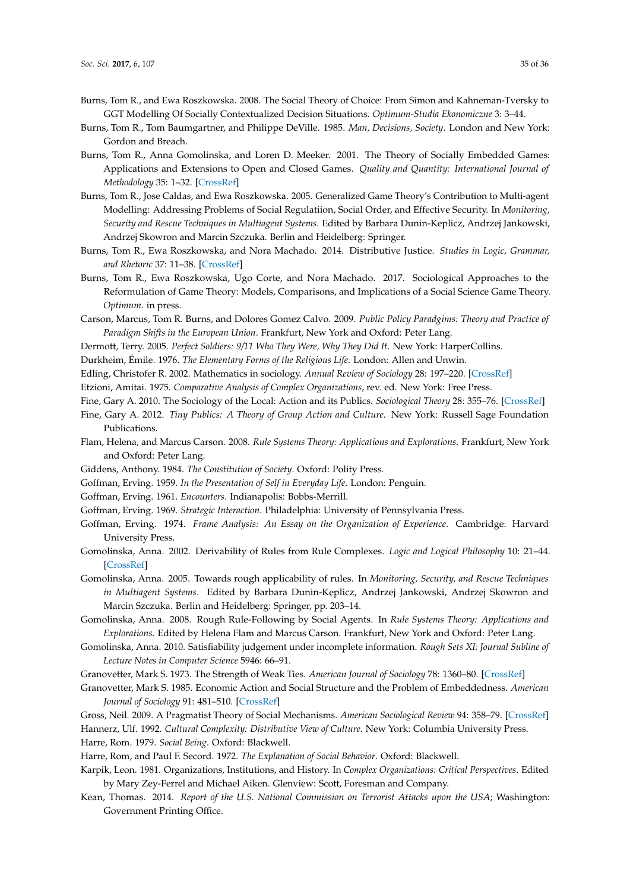- <span id="page-34-10"></span>Burns, Tom R., and Ewa Roszkowska. 2008. The Social Theory of Choice: From Simon and Kahneman-Tversky to GGT Modelling Of Socially Contextualized Decision Situations. *Optimum-Studia Ekonomiczne* 3: 3–44.
- <span id="page-34-6"></span>Burns, Tom R., Tom Baumgartner, and Philippe DeVille. 1985. *Man, Decisions, Society*. London and New York: Gordon and Breach.
- <span id="page-34-11"></span>Burns, Tom R., Anna Gomolinska, and Loren D. Meeker. 2001. The Theory of Socially Embedded Games: Applications and Extensions to Open and Closed Games. *Quality and Quantity: International Journal of Methodology* 35: 1–32. [\[CrossRef\]](http://dx.doi.org/10.1023/A:1004825116540)
- <span id="page-34-13"></span>Burns, Tom R., Jose Caldas, and Ewa Roszkowska. 2005. Generalized Game Theory's Contribution to Multi-agent Modelling: Addressing Problems of Social Regulatiion, Social Order, and Effective Security. In *Monitoring, Security and Rescue Techniques in Multiagent Systems*. Edited by Barbara Dunin-Keplicz, Andrzej Jankowski, Andrzej Skowron and Marcin Szczuka. Berlin and Heidelberg: Springer.
- <span id="page-34-25"></span>Burns, Tom R., Ewa Roszkowska, and Nora Machado. 2014. Distributive Justice. *Studies in Logic, Grammar, and Rhetoric* 37: 11–38. [\[CrossRef\]](http://dx.doi.org/10.2478/slgr-2014-0015)
- <span id="page-34-14"></span>Burns, Tom R., Ewa Roszkowska, Ugo Corte, and Nora Machado. 2017. Sociological Approaches to the Reformulation of Game Theory: Models, Comparisons, and Implications of a Social Science Game Theory. *Optimum*. in press.
- <span id="page-34-12"></span>Carson, Marcus, Tom R. Burns, and Dolores Gomez Calvo. 2009. *Public Policy Paradgims: Theory and Practice of Paradigm Shifts in the European Union*. Frankfurt, New York and Oxford: Peter Lang.
- <span id="page-34-28"></span><span id="page-34-21"></span>Dermott, Terry. 2005. *Perfect Soldiers: 9/11 Who They Were, Why They Did It*. New York: HarperCollins.
- <span id="page-34-20"></span>Durkheim, Émile. 1976. *The Elementary Forms of the Religious Life*. London: Allen and Unwin.
- Edling, Christofer R. 2002. Mathematics in sociology. *Annual Review of Sociology* 28: 197–220. [\[CrossRef\]](http://dx.doi.org/10.1146/annurev.soc.28.110601.140942)
- <span id="page-34-24"></span>Etzioni, Amitai. 1975. *Comparative Analysis of Complex Organizations*, rev. ed. New York: Free Press.
- <span id="page-34-26"></span>Fine, Gary A. 2010. The Sociology of the Local: Action and its Publics. *Sociological Theory* 28: 355–76. [\[CrossRef\]](http://dx.doi.org/10.1111/j.1467-9558.2010.01380.x)
- <span id="page-34-27"></span>Fine, Gary A. 2012. *Tiny Publics: A Theory of Group Action and Culture*. New York: Russell Sage Foundation Publications.
- <span id="page-34-19"></span>Flam, Helena, and Marcus Carson. 2008. *Rule Systems Theory: Applications and Explorations*. Frankfurt, New York and Oxford: Peter Lang.
- <span id="page-34-0"></span>Giddens, Anthony. 1984. *The Constitution of Society*. Oxford: Polity Press.
- <span id="page-34-15"></span><span id="page-34-7"></span>Goffman, Erving. 1959. *In the Presentation of Self in Everyday Life*. London: Penguin.
- <span id="page-34-16"></span>Goffman, Erving. 1961. *Encounters*. Indianapolis: Bobbs-Merrill.
- Goffman, Erving. 1969. *Strategic Interaction*. Philadelphia: University of Pennsylvania Press.
- <span id="page-34-8"></span>Goffman, Erving. 1974. *Frame Analysis: An Essay on the Organization of Experience*. Cambridge: Harvard University Press.
- <span id="page-34-3"></span>Gomolinska, Anna. 2002. Derivability of Rules from Rule Complexes. *Logic and Logical Philosophy* 10: 21–44. [\[CrossRef\]](http://dx.doi.org/10.12775/LLP.2002.002)
- <span id="page-34-4"></span>Gomolinska, Anna. 2005. Towards rough applicability of rules. In *Monitoring, Security, and Rescue Techniques in Multiagent Systems*. Edited by Barbara Dunin-Keplicz, Andrzej Jankowski, Andrzej Skowron and Marcin Szczuka. Berlin and Heidelberg: Springer, pp. 203–14.
- <span id="page-34-2"></span>Gomolinska, Anna. 2008. Rough Rule-Following by Social Agents. In *Rule Systems Theory: Applications and Explorations*. Edited by Helena Flam and Marcus Carson. Frankfurt, New York and Oxford: Peter Lang.
- <span id="page-34-5"></span>Gomolinska, Anna. 2010. Satisfiability judgement under incomplete information. *Rough Sets XI: Journal Subline of Lecture Notes in Computer Science* 5946: 66–91.
- <span id="page-34-30"></span>Granovetter, Mark S. 1973. The Strength of Weak Ties. *American Journal of Sociology* 78: 1360–80. [\[CrossRef\]](http://dx.doi.org/10.1086/225469)
- <span id="page-34-17"></span>Granovetter, Mark S. 1985. Economic Action and Social Structure and the Problem of Embeddedness. *American Journal of Sociology* 91: 481–510. [\[CrossRef\]](http://dx.doi.org/10.1086/228311)
- <span id="page-34-29"></span><span id="page-34-23"></span>Gross, Neil. 2009. A Pragmatist Theory of Social Mechanisms. *American Sociological Review* 94: 358–79. [\[CrossRef\]](http://dx.doi.org/10.1177/000312240907400302) Hannerz, Ulf. 1992. *Cultural Complexity: Distributive View of Culture*. New York: Columbia University Press. Harre, Rom. 1979. *Social Being*. Oxford: Blackwell.
- <span id="page-34-9"></span><span id="page-34-1"></span>Harre, Rom, and Paul F. Secord. 1972. *The Explanation of Social Behavior*. Oxford: Blackwell.
- <span id="page-34-18"></span>Karpik, Leon. 1981. Organizations, Institutions, and History. In *Complex Organizations: Critical Perspectives*. Edited by Mary Zey-Ferrel and Michael Aiken. Glenview: Scott, Foresman and Company.
- <span id="page-34-22"></span>Kean, Thomas. 2014. *Report of the U.S. National Commission on Terrorist Attacks upon the USA*; Washington: Government Printing Office.